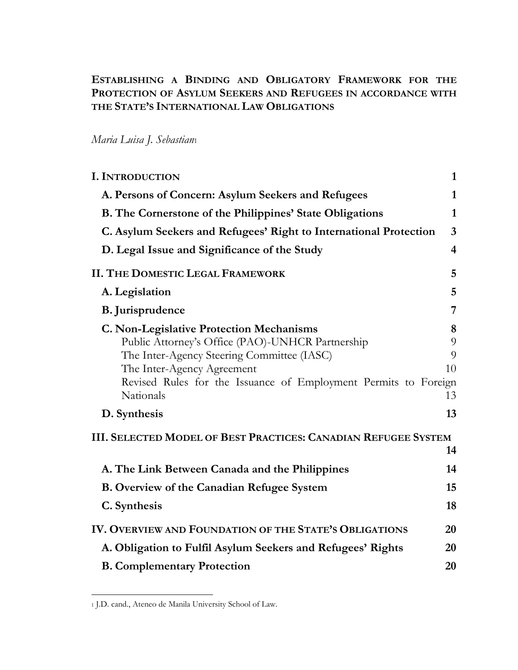# **ESTABLISHING A BINDING AND OBLIGATORY FRAMEWORK FOR THE PROTECTION OF ASYLUM SEEKERS AND REFUGEES IN ACCORDANCE WITH THE STATE'S INTERNATIONAL LAW OBLIGATIONS**

# *Maria Luisa J. Sebastian*<sup>1</sup>

| <b>I. INTRODUCTION</b>                                                                                                                                                          | $\mathbf{1}$            |
|---------------------------------------------------------------------------------------------------------------------------------------------------------------------------------|-------------------------|
| A. Persons of Concern: Asylum Seekers and Refugees                                                                                                                              | $\mathbf{1}$            |
| <b>B.</b> The Cornerstone of the Philippines' State Obligations                                                                                                                 | 1                       |
| C. Asylum Seekers and Refugees' Right to International Protection                                                                                                               | $\overline{3}$          |
| D. Legal Issue and Significance of the Study                                                                                                                                    | $\overline{\mathbf{4}}$ |
| <b>II. THE DOMESTIC LEGAL FRAMEWORK</b>                                                                                                                                         | 5                       |
| A. Legislation                                                                                                                                                                  | 5                       |
| <b>B.</b> Jurisprudence                                                                                                                                                         | 7                       |
| <b>C. Non-Legislative Protection Mechanisms</b><br>Public Attorney's Office (PAO)-UNHCR Partnership<br>The Inter-Agency Steering Committee (IASC)<br>The Inter-Agency Agreement | 8<br>9<br>9<br>10       |
| Revised Rules for the Issuance of Employment Permits to Foreign<br>Nationals                                                                                                    | 13                      |
| D. Synthesis                                                                                                                                                                    | 13                      |
| <b>III. SELECTED MODEL OF BEST PRACTICES: CANADIAN REFUGEE SYSTEM</b>                                                                                                           |                         |
|                                                                                                                                                                                 | 14                      |
| A. The Link Between Canada and the Philippines                                                                                                                                  | 14                      |
| <b>B.</b> Overview of the Canadian Refugee System                                                                                                                               | 15                      |
| C. Synthesis                                                                                                                                                                    | 18                      |
| IV. OVERVIEW AND FOUNDATION OF THE STATE'S OBLIGATIONS                                                                                                                          | 20                      |
| A. Obligation to Fulfil Asylum Seekers and Refugees' Rights                                                                                                                     | 20                      |
| <b>B. Complementary Protection</b>                                                                                                                                              | 20                      |

<sup>1</sup> J.D. cand., Ateneo de Manila University School of Law.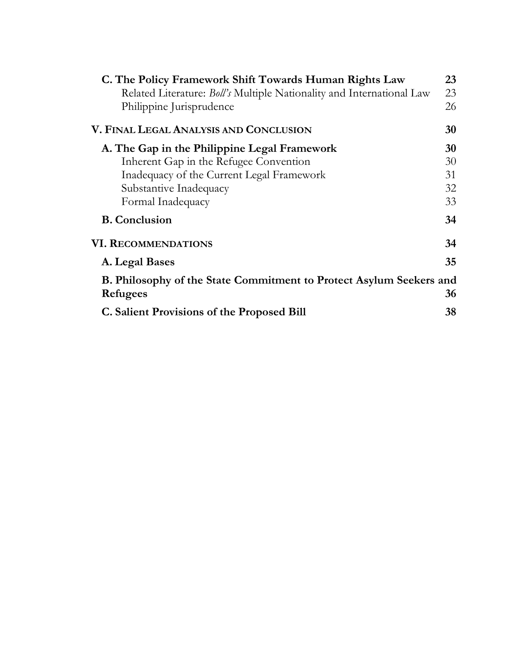| C. The Policy Framework Shift Towards Human Rights Law                | 23 |
|-----------------------------------------------------------------------|----|
| Related Literature: Boll's Multiple Nationality and International Law | 23 |
| Philippine Jurisprudence                                              | 26 |
| V. FINAL LEGAL ANALYSIS AND CONCLUSION                                | 30 |
| A. The Gap in the Philippine Legal Framework                          | 30 |
| Inherent Gap in the Refugee Convention                                | 30 |
| Inadequacy of the Current Legal Framework                             | 31 |
| Substantive Inadequacy                                                | 32 |
| Formal Inadequacy                                                     | 33 |
| <b>B.</b> Conclusion                                                  | 34 |
| <b>VI. RECOMMENDATIONS</b>                                            | 34 |
| A. Legal Bases                                                        | 35 |
| B. Philosophy of the State Commitment to Protect Asylum Seekers and   |    |
| Refugees                                                              | 36 |
| <b>C.</b> Salient Provisions of the Proposed Bill                     | 38 |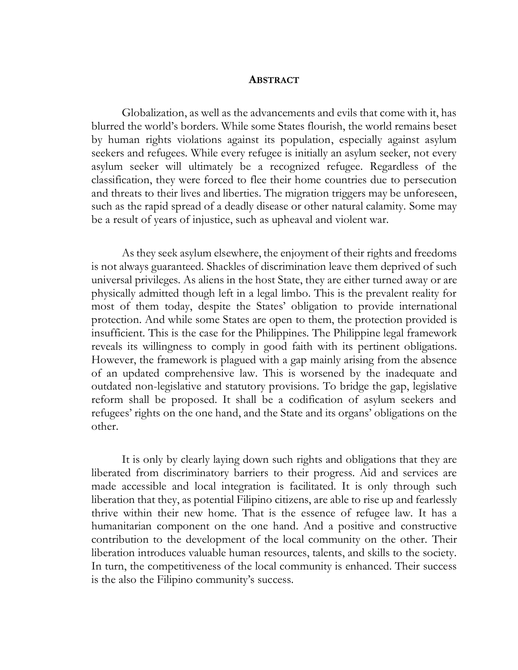#### **ABSTRACT**

Globalization, as well as the advancements and evils that come with it, has blurred the world's borders. While some States flourish, the world remains beset by human rights violations against its population, especially against asylum seekers and refugees. While every refugee is initially an asylum seeker, not every asylum seeker will ultimately be a recognized refugee. Regardless of the classification, they were forced to flee their home countries due to persecution and threats to their lives and liberties. The migration triggers may be unforeseen, such as the rapid spread of a deadly disease or other natural calamity. Some may be a result of years of injustice, such as upheaval and violent war.

As they seek asylum elsewhere, the enjoyment of their rights and freedoms is not always guaranteed. Shackles of discrimination leave them deprived of such universal privileges. As aliens in the host State, they are either turned away or are physically admitted though left in a legal limbo. This is the prevalent reality for most of them today, despite the States' obligation to provide international protection. And while some States are open to them, the protection provided is insufficient. This is the case for the Philippines. The Philippine legal framework reveals its willingness to comply in good faith with its pertinent obligations. However, the framework is plagued with a gap mainly arising from the absence of an updated comprehensive law. This is worsened by the inadequate and outdated non-legislative and statutory provisions. To bridge the gap, legislative reform shall be proposed. It shall be a codification of asylum seekers and refugees' rights on the one hand, and the State and its organs' obligations on the other.

It is only by clearly laying down such rights and obligations that they are liberated from discriminatory barriers to their progress. Aid and services are made accessible and local integration is facilitated. It is only through such liberation that they, as potential Filipino citizens, are able to rise up and fearlessly thrive within their new home. That is the essence of refugee law. It has a humanitarian component on the one hand. And a positive and constructive contribution to the development of the local community on the other. Their liberation introduces valuable human resources, talents, and skills to the society. In turn, the competitiveness of the local community is enhanced. Their success is the also the Filipino community's success.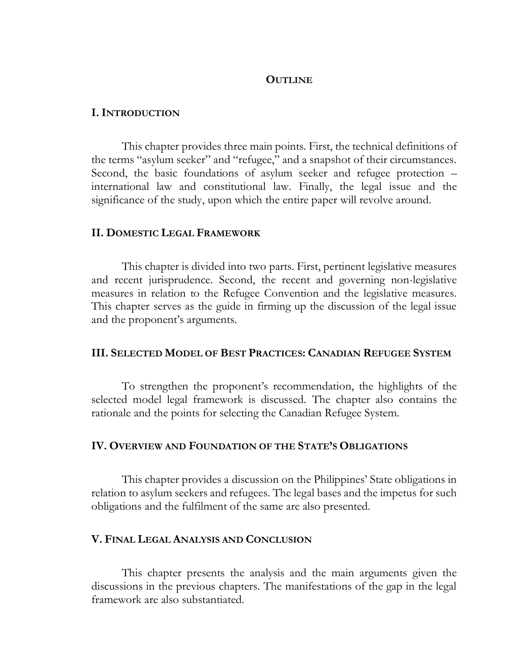### **OUTLINE**

### **I. INTRODUCTION**

This chapter provides three main points. First, the technical definitions of the terms "asylum seeker" and "refugee," and a snapshot of their circumstances. Second, the basic foundations of asylum seeker and refugee protection – international law and constitutional law. Finally, the legal issue and the significance of the study, upon which the entire paper will revolve around.

### **II. DOMESTIC LEGAL FRAMEWORK**

This chapter is divided into two parts. First, pertinent legislative measures and recent jurisprudence. Second, the recent and governing non-legislative measures in relation to the Refugee Convention and the legislative measures. This chapter serves as the guide in firming up the discussion of the legal issue and the proponent's arguments.

### **III. SELECTED MODEL OF BEST PRACTICES: CANADIAN REFUGEE SYSTEM**

To strengthen the proponent's recommendation, the highlights of the selected model legal framework is discussed. The chapter also contains the rationale and the points for selecting the Canadian Refugee System.

## **IV. OVERVIEW AND FOUNDATION OF THE STATE'S OBLIGATIONS**

This chapter provides a discussion on the Philippines' State obligations in relation to asylum seekers and refugees. The legal bases and the impetus for such obligations and the fulfilment of the same are also presented.

## **V. FINAL LEGAL ANALYSIS AND CONCLUSION**

This chapter presents the analysis and the main arguments given the discussions in the previous chapters. The manifestations of the gap in the legal framework are also substantiated.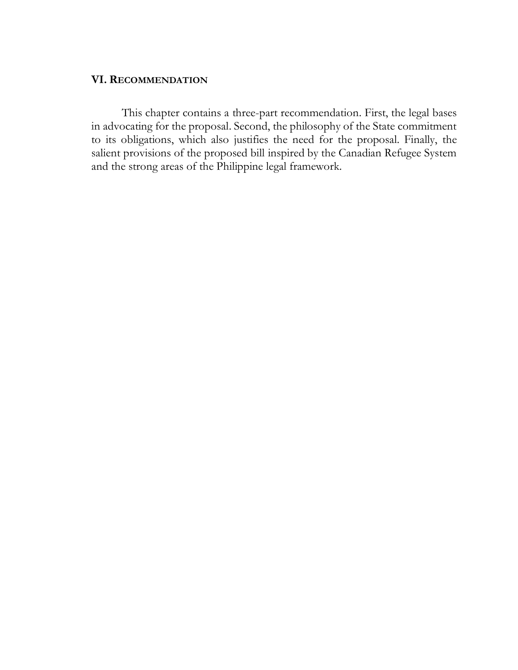# **VI. RECOMMENDATION**

This chapter contains a three-part recommendation. First, the legal bases in advocating for the proposal. Second, the philosophy of the State commitment to its obligations, which also justifies the need for the proposal. Finally, the salient provisions of the proposed bill inspired by the Canadian Refugee System and the strong areas of the Philippine legal framework.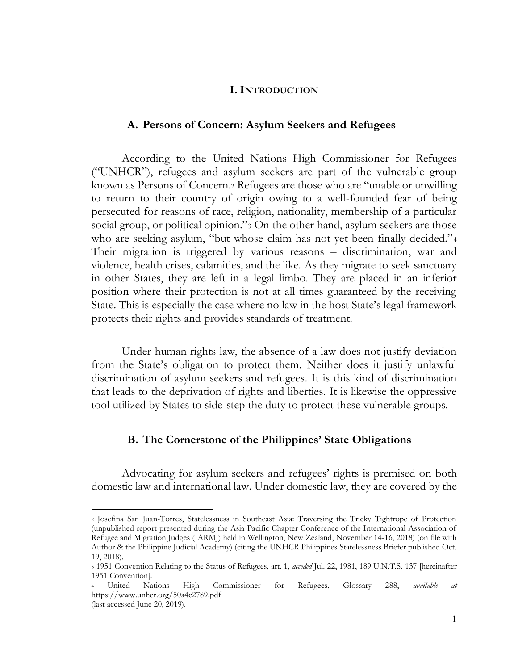### **I. INTRODUCTION**

#### <span id="page-5-0"></span>**A. Persons of Concern: Asylum Seekers and Refugees**

<span id="page-5-1"></span>According to the United Nations High Commissioner for Refugees ("UNHCR"), refugees and asylum seekers are part of the vulnerable group known as Persons of Concern.<sup>2</sup> Refugees are those who are "unable or unwilling to return to their country of origin owing to a well-founded fear of being persecuted for reasons of race, religion, nationality, membership of a particular social group, or political opinion."<sup>3</sup> On the other hand, asylum seekers are those who are seeking asylum, "but whose claim has not yet been finally decided."<sup>4</sup> Their migration is triggered by various reasons – discrimination, war and violence, health crises, calamities, and the like. As they migrate to seek sanctuary in other States, they are left in a legal limbo. They are placed in an inferior position where their protection is not at all times guaranteed by the receiving State. This is especially the case where no law in the host State's legal framework protects their rights and provides standards of treatment.

Under human rights law, the absence of a law does not justify deviation from the State's obligation to protect them. Neither does it justify unlawful discrimination of asylum seekers and refugees. It is this kind of discrimination that leads to the deprivation of rights and liberties. It is likewise the oppressive tool utilized by States to side-step the duty to protect these vulnerable groups.

#### **B. The Cornerstone of the Philippines' State Obligations**

<span id="page-5-2"></span>Advocating for asylum seekers and refugees' rights is premised on both domestic law and international law. Under domestic law, they are covered by the

<sup>2</sup> Josefina San Juan-Torres, Statelessness in Southeast Asia: Traversing the Tricky Tightrope of Protection (unpublished report presented during the Asia Pacific Chapter Conference of the International Association of Refugee and Migration Judges (IARMJ) held in Wellington, New Zealand, November 14-16, 2018) (on file with Author & the Philippine Judicial Academy) (citing the UNHCR Philippines Statelessness Briefer published Oct. 19, 2018).

<sup>3</sup> 1951 Convention Relating to the Status of Refugees, art. 1, *acceded* Jul. 22, 1981, 189 U.N.T.S. 137 [hereinafter 1951 Convention].

<sup>4</sup> United Nations High Commissioner for Refugees, Glossary 288, *available at* https://www.unhcr.org/50a4c2789.pdf

<sup>(</sup>last accessed June 20, 2019).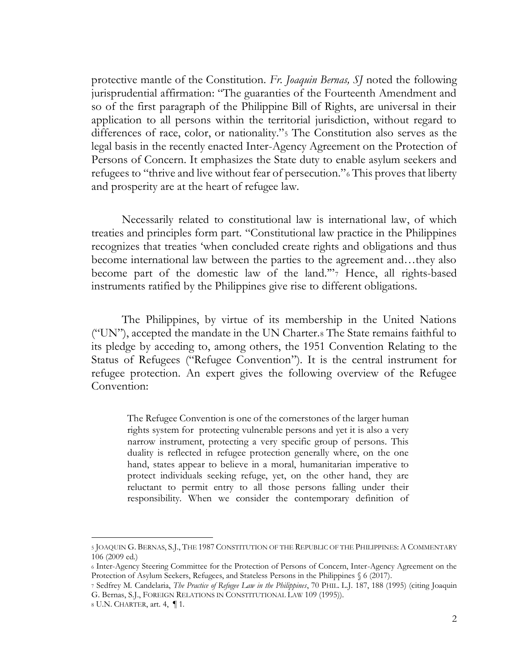protective mantle of the Constitution. *Fr. Joaquin Bernas, SJ* noted the following jurisprudential affirmation: "The guaranties of the Fourteenth Amendment and so of the first paragraph of the Philippine Bill of Rights, are universal in their application to all persons within the territorial jurisdiction, without regard to differences of race, color, or nationality."<sup>5</sup> The Constitution also serves as the legal basis in the recently enacted Inter-Agency Agreement on the Protection of Persons of Concern. It emphasizes the State duty to enable asylum seekers and refugees to "thrive and live without fear of persecution."<sup>6</sup> This proves that liberty and prosperity are at the heart of refugee law.

Necessarily related to constitutional law is international law, of which treaties and principles form part. "Constitutional law practice in the Philippines recognizes that treaties 'when concluded create rights and obligations and thus become international law between the parties to the agreement and…they also become part of the domestic law of the land.'"<sup>7</sup> Hence, all rights-based instruments ratified by the Philippines give rise to different obligations.

The Philippines, by virtue of its membership in the United Nations ("UN"), accepted the mandate in the UN Charter.<sup>8</sup> The State remains faithful to its pledge by acceding to, among others, the 1951 Convention Relating to the Status of Refugees ("Refugee Convention"). It is the central instrument for refugee protection. An expert gives the following overview of the Refugee Convention:

The Refugee Convention is one of the cornerstones of the larger human rights system for protecting vulnerable persons and yet it is also a very narrow instrument, protecting a very specific group of persons. This duality is reflected in refugee protection generally where, on the one hand, states appear to believe in a moral, humanitarian imperative to protect individuals seeking refuge, yet, on the other hand, they are reluctant to permit entry to all those persons falling under their responsibility. When we consider the contemporary definition of

<sup>5</sup> JOAQUIN G. BERNAS, S.J., THE 1987 CONSTITUTION OF THE REPUBLIC OF THE PHILIPPINES: A COMMENTARY 106 (2009 ed.)

<sup>6</sup> Inter-Agency Steering Committee for the Protection of Persons of Concern, Inter-Agency Agreement on the Protection of Asylum Seekers, Refugees, and Stateless Persons in the Philippines § 6 (2017).

<sup>7</sup> Sedfrey M. Candelaria, *The Practice of Refugee Law in the Philippines*, 70 PHIL. L.J. 187, 188 (1995) (citing Joaquin G. Bernas, S.J., FOREIGN RELATIONS IN CONSTITUTIONAL LAW 109 (1995)).

<sup>8</sup> U.N. CHARTER, art. 4, ¶ 1.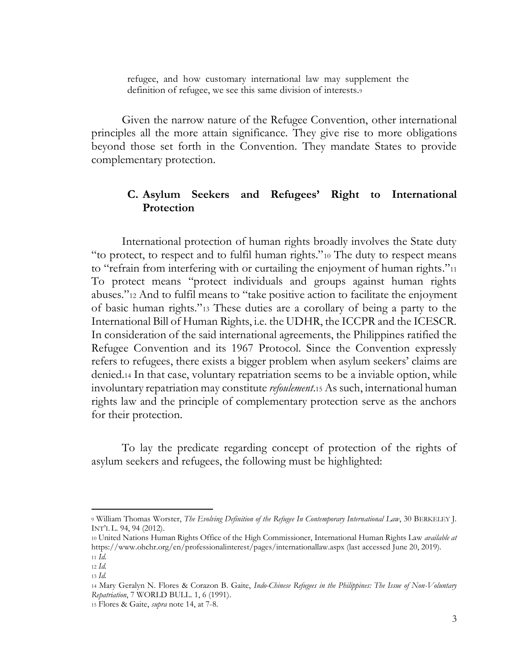refugee, and how customary international law may supplement the definition of refugee, we see this same division of interests.<sup>9</sup>

Given the narrow nature of the Refugee Convention, other international principles all the more attain significance. They give rise to more obligations beyond those set forth in the Convention. They mandate States to provide complementary protection.

# <span id="page-7-0"></span>**C. Asylum Seekers and Refugees' Right to International Protection**

International protection of human rights broadly involves the State duty "to protect, to respect and to fulfil human rights."<sup>10</sup> The duty to respect means to "refrain from interfering with or curtailing the enjoyment of human rights."<sup>11</sup> To protect means "protect individuals and groups against human rights abuses."<sup>12</sup> And to fulfil means to "take positive action to facilitate the enjoyment of basic human rights."<sup>13</sup> These duties are a corollary of being a party to the International Bill of Human Rights, i.e. the UDHR, the ICCPR and the ICESCR. In consideration of the said international agreements, the Philippines ratified the Refugee Convention and its 1967 Protocol. Since the Convention expressly refers to refugees, there exists a bigger problem when asylum seekers' claims are denied.<sup>14</sup> In that case, voluntary repatriation seems to be a inviable option, while involuntary repatriation may constitute *refoulement*.<sup>15</sup> As such, international human rights law and the principle of complementary protection serve as the anchors for their protection.

To lay the predicate regarding concept of protection of the rights of asylum seekers and refugees, the following must be highlighted:

<sup>9</sup> William Thomas Worster, *The Evolving Definition of the Refugee In Contemporary International Law*, 30 BERKELEY J. INT'L L. 94, 94 (2012).

<sup>10</sup> United Nations Human Rights Office of the High Commissioner, International Human Rights Law *available at*  https://www.ohchr.org/en/professionalinterest/pages/internationallaw.aspx (last accessed June 20, 2019). <sup>11</sup> *Id*.

<sup>12</sup> *Id.*

<sup>13</sup> *Id.*

<sup>14</sup> Mary Geralyn N. Flores & Corazon B. Gaite, *Indo-Chinese Refugees in the Philippines: The Issue of Non-Voluntary Repatriation*, 7 WORLD BULL. 1, 6 (1991).

<sup>15</sup> Flores & Gaite, *supra* note 14, at 7-8.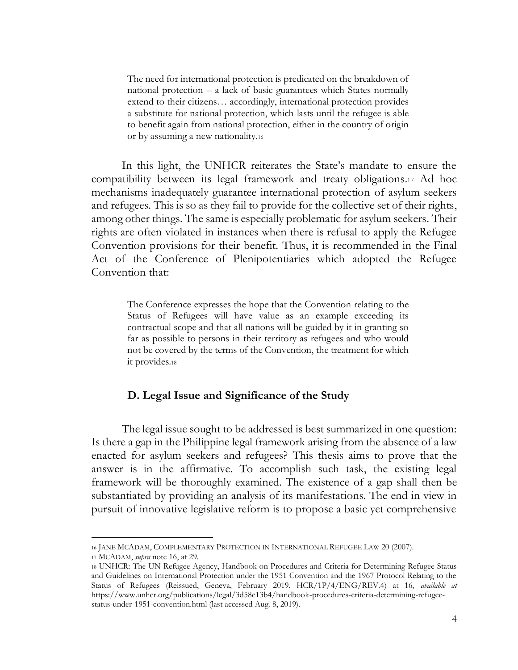The need for international protection is predicated on the breakdown of national protection – a lack of basic guarantees which States normally extend to their citizens… accordingly, international protection provides a substitute for national protection, which lasts until the refugee is able to benefit again from national protection, either in the country of origin or by assuming a new nationality.<sup>16</sup>

In this light, the UNHCR reiterates the State's mandate to ensure the compatibility between its legal framework and treaty obligations.<sup>17</sup> Ad hoc mechanisms inadequately guarantee international protection of asylum seekers and refugees. This is so as they fail to provide for the collective set of their rights, among other things. The same is especially problematic for asylum seekers. Their rights are often violated in instances when there is refusal to apply the Refugee Convention provisions for their benefit. Thus, it is recommended in the Final Act of the Conference of Plenipotentiaries which adopted the Refugee Convention that:

The Conference expresses the hope that the Convention relating to the Status of Refugees will have value as an example exceeding its contractual scope and that all nations will be guided by it in granting so far as possible to persons in their territory as refugees and who would not be covered by the terms of the Convention, the treatment for which it provides.<sup>18</sup>

# <span id="page-8-0"></span>**D. Legal Issue and Significance of the Study**

The legal issue sought to be addressed is best summarized in one question: Is there a gap in the Philippine legal framework arising from the absence of a law enacted for asylum seekers and refugees? This thesis aims to prove that the answer is in the affirmative. To accomplish such task, the existing legal framework will be thoroughly examined. The existence of a gap shall then be substantiated by providing an analysis of its manifestations. The end in view in pursuit of innovative legislative reform is to propose a basic yet comprehensive

<sup>16</sup> JANE MCADAM, COMPLEMENTARY PROTECTION IN INTERNATIONAL REFUGEE LAW 20 (2007).

<sup>17</sup> MCADAM, *supra* note 16, at 29.

<sup>18</sup> UNHCR: The UN Refugee Agency, Handbook on Procedures and Criteria for Determining Refugee Status and Guidelines on International Protection under the 1951 Convention and the 1967 Protocol Relating to the Status of Refugees (Reissued, Geneva, February 2019, HCR/1P/4/ENG/REV.4) at 16, *available at*  https://www.unhcr.org/publications/legal/3d58e13b4/handbook-procedures-criteria-determining-refugeestatus-under-1951-convention.html (last accessed Aug. 8, 2019).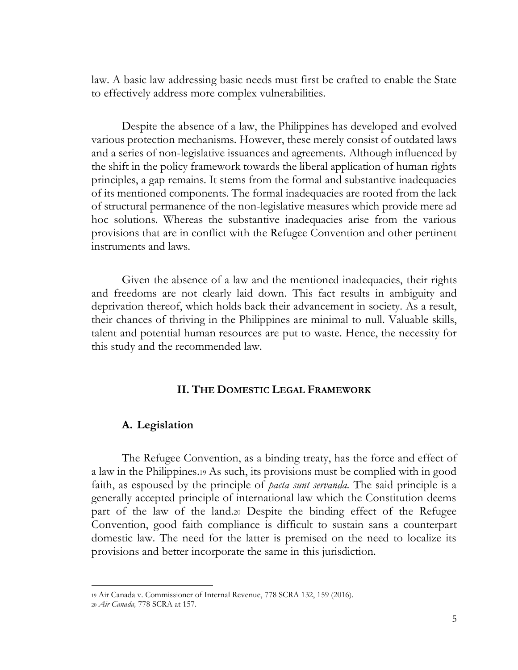law. A basic law addressing basic needs must first be crafted to enable the State to effectively address more complex vulnerabilities.

Despite the absence of a law, the Philippines has developed and evolved various protection mechanisms. However, these merely consist of outdated laws and a series of non-legislative issuances and agreements. Although influenced by the shift in the policy framework towards the liberal application of human rights principles, a gap remains. It stems from the formal and substantive inadequacies of its mentioned components. The formal inadequacies are rooted from the lack of structural permanence of the non-legislative measures which provide mere ad hoc solutions. Whereas the substantive inadequacies arise from the various provisions that are in conflict with the Refugee Convention and other pertinent instruments and laws.

Given the absence of a law and the mentioned inadequacies, their rights and freedoms are not clearly laid down. This fact results in ambiguity and deprivation thereof, which holds back their advancement in society. As a result, their chances of thriving in the Philippines are minimal to null. Valuable skills, talent and potential human resources are put to waste. Hence, the necessity for this study and the recommended law.

# **II. THE DOMESTIC LEGAL FRAMEWORK**

### <span id="page-9-1"></span><span id="page-9-0"></span>**A. Legislation**

The Refugee Convention, as a binding treaty, has the force and effect of a law in the Philippines.<sup>19</sup> As such, its provisions must be complied with in good faith, as espoused by the principle of *pacta sunt servanda.* The said principle is a generally accepted principle of international law which the Constitution deems part of the law of the land.<sup>20</sup> Despite the binding effect of the Refugee Convention, good faith compliance is difficult to sustain sans a counterpart domestic law. The need for the latter is premised on the need to localize its provisions and better incorporate the same in this jurisdiction.

<sup>19</sup> Air Canada v. Commissioner of Internal Revenue, 778 SCRA 132, 159 (2016).

<sup>20</sup> *Air Canada,* 778 SCRA at 157.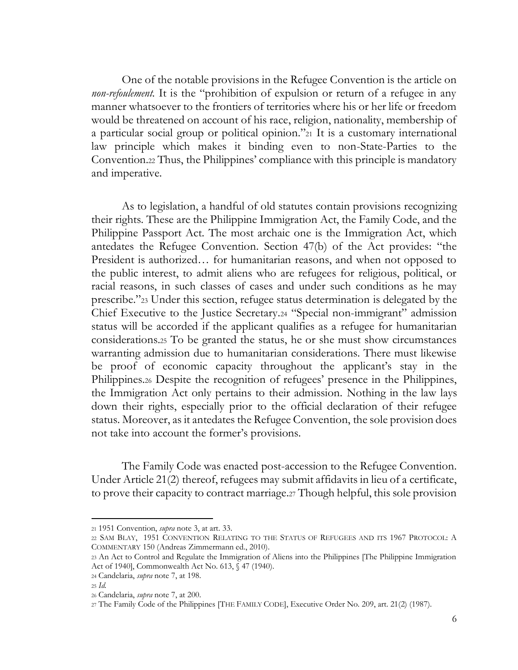One of the notable provisions in the Refugee Convention is the article on *non-refoulement*. It is the "prohibition of expulsion or return of a refugee in any manner whatsoever to the frontiers of territories where his or her life or freedom would be threatened on account of his race, religion, nationality, membership of a particular social group or political opinion."<sup>21</sup> It is a customary international law principle which makes it binding even to non-State-Parties to the Convention.<sup>22</sup> Thus, the Philippines' compliance with this principle is mandatory and imperative.

As to legislation, a handful of old statutes contain provisions recognizing their rights. These are the Philippine Immigration Act, the Family Code, and the Philippine Passport Act. The most archaic one is the Immigration Act, which antedates the Refugee Convention. Section 47(b) of the Act provides: "the President is authorized… for humanitarian reasons, and when not opposed to the public interest, to admit aliens who are refugees for religious, political, or racial reasons, in such classes of cases and under such conditions as he may prescribe."<sup>23</sup> Under this section, refugee status determination is delegated by the Chief Executive to the Justice Secretary.<sup>24</sup> "Special non-immigrant" admission status will be accorded if the applicant qualifies as a refugee for humanitarian considerations.<sup>25</sup> To be granted the status, he or she must show circumstances warranting admission due to humanitarian considerations. There must likewise be proof of economic capacity throughout the applicant's stay in the Philippines.<sup>26</sup> Despite the recognition of refugees' presence in the Philippines, the Immigration Act only pertains to their admission. Nothing in the law lays down their rights, especially prior to the official declaration of their refugee status. Moreover, as it antedates the Refugee Convention, the sole provision does not take into account the former's provisions.

The Family Code was enacted post-accession to the Refugee Convention. Under Article 21(2) thereof, refugees may submit affidavits in lieu of a certificate, to prove their capacity to contract marriage.<sup>27</sup> Though helpful, this sole provision

<sup>21</sup> 1951 Convention, *supra* note 3, at art. 33.

<sup>22</sup> SAM BLAY, 1951 CONVENTION RELATING TO THE STATUS OF REFUGEES AND ITS 1967 PROTOCOL: A COMMENTARY 150 (Andreas Zimmermann ed., 2010).

<sup>23</sup> An Act to Control and Regulate the Immigration of Aliens into the Philippines [The Philippine Immigration Act of 1940], Commonwealth Act No. 613, § 47 (1940).

<sup>24</sup> Candelaria, *supra* note 7, at 198.

<sup>25</sup> *Id.*

<sup>26</sup> Candelaria, *supra* note 7, at 200.

<sup>27</sup> The Family Code of the Philippines [THE FAMILY CODE], Executive Order No. 209, art. 21(2) (1987).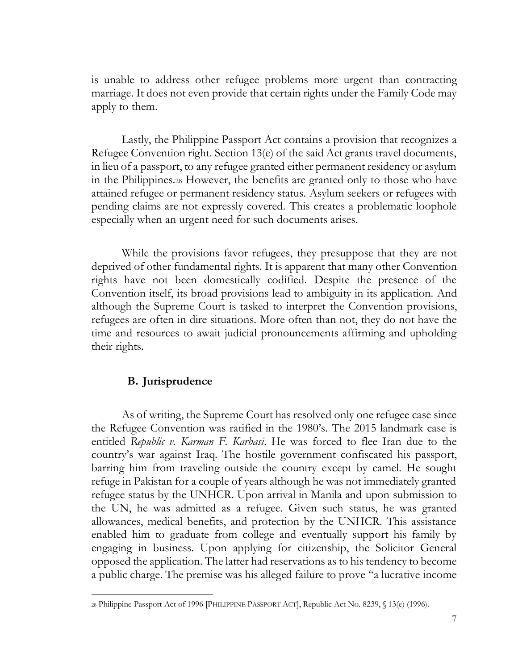is unable to address other refugee problems more urgent than contracting marriage. It does not even provide that certain rights under the Family Code may apply to them.

Lastly, the Philippine Passport Act contains a provision that recognizes a Refugee Convention right. Section 13(e) of the said Act grants travel documents, in lieu of a passport, to any refugee granted either permanent residency or asylum in the Philippines.<sup>28</sup> However, the benefits are granted only to those who have attained refugee or permanent residency status. Asylum seekers or refugees with pending claims are not expressly covered. This creates a problematic loophole especially when an urgent need for such documents arises.

While the provisions favor refugees, they presuppose that they are not deprived of other fundamental rights. It is apparent that many other Convention rights have not been domestically codified. Despite the presence of the Convention itself, its broad provisions lead to ambiguity in its application. And although the Supreme Court is tasked to interpret the Convention provisions, refugees are often in dire situations. More often than not, they do not have the time and resources to await judicial pronouncements affirming and upholding their rights.

# **B. Jurisprudence**

<span id="page-11-0"></span>As of writing, the Supreme Court has resolved only one refugee case since the Refugee Convention was ratified in the 1980's. The 2015 landmark case is entitled *Republic v. Karman F. Karbasi*. He was forced to flee Iran due to the country's war against Iraq. The hostile government confiscated his passport, barring him from traveling outside the country except by camel. He sought refuge in Pakistan for a couple of years although he was not immediately granted refugee status by the UNHCR. Upon arrival in Manila and upon submission to the UN, he was admitted as a refugee. Given such status, he was granted allowances, medical benefits, and protection by the UNHCR. This assistance enabled him to graduate from college and eventually support his family by engaging in business. Upon applying for citizenship, the Solicitor General opposed the application. The latter had reservations as to his tendency to become a public charge. The premise was his alleged failure to prove "a lucrative income

<sup>28</sup> Philippine Passport Act of 1996 [PHILIPPINE PASSPORT ACT], Republic Act No. 8239, § 13(e) (1996).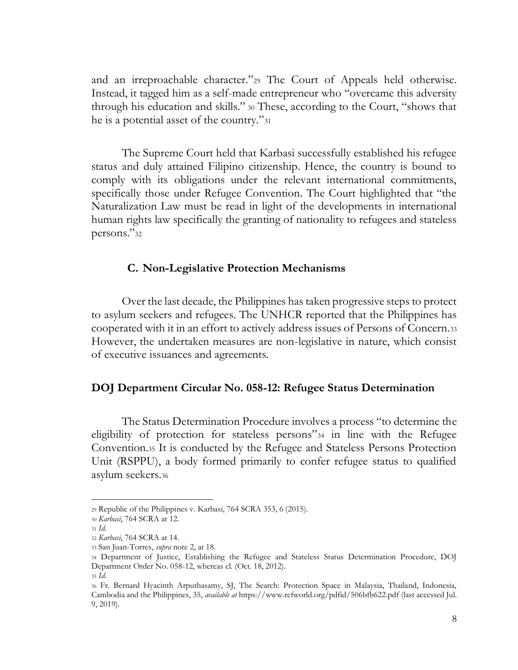and an irreproachable character."<sup>29</sup> The Court of Appeals held otherwise. Instead, it tagged him as a self-made entrepreneur who "overcame this adversity through his education and skills." <sup>30</sup> These, according to the Court, "shows that he is a potential asset of the country."<sup>31</sup>

The Supreme Court held that Karbasi successfully established his refugee status and duly attained Filipino citizenship. Hence, the country is bound to comply with its obligations under the relevant international commitments, specifically those under Refugee Convention. The Court highlighted that "the Naturalization Law must be read in light of the developments in international human rights law specifically the granting of nationality to refugees and stateless persons."<sup>32</sup>

#### **C. Non-Legislative Protection Mechanisms**

<span id="page-12-0"></span>Over the last decade, the Philippines has taken progressive steps to protect to asylum seekers and refugees. The UNHCR reported that the Philippines has cooperated with it in an effort to actively address issues of Persons of Concern.<sup>33</sup> However, the undertaken measures are non-legislative in nature, which consist of executive issuances and agreements.

#### **DOJ Department Circular No. 058-12: Refugee Status Determination**

The Status Determination Procedure involves a process "to determine the eligibility of protection for stateless persons"<sup>34</sup> in line with the Refugee Convention.<sup>35</sup> It is conducted by the Refugee and Stateless Persons Protection Unit (RSPPU), a body formed primarily to confer refugee status to qualified asylum seekers.<sup>36</sup>

<sup>29</sup> Republic of the Philippines v. Karbasi, 764 SCRA 353, 6 (2015).

<sup>30</sup> *Karbasi*, 764 SCRA at 12.

<sup>31</sup> *Id.*

<sup>32</sup> *Karbasi*, 764 SCRA at 14. <sup>33</sup> San Juan-Torres, *supra* note 2, at 18.

<sup>34</sup> Department of Justice, Establishing the Refugee and Stateless Status Determination Procedure, DOJ Department Order No. 058-12, whereas cl. (Oct. 18, 2012).

<sup>35</sup> *Id.*

<sup>36</sup> Fr. Bernard Hyacinth Arputhasamy, SJ, The Search: Protection Space in Malaysia, Thailand, Indonesia, Cambodia and the Philippines, 35, *available at* https://www.refworld.org/pdfid/506bfb622.pdf (last accessed Jul. 9, 2019).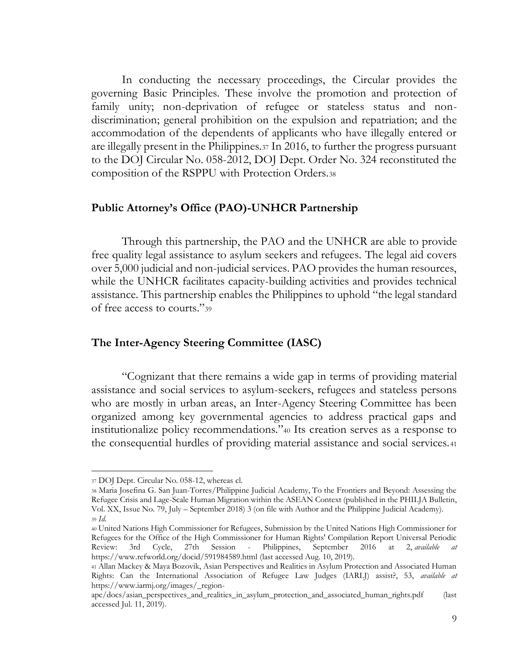In conducting the necessary proceedings, the Circular provides the governing Basic Principles. These involve the promotion and protection of family unity; non-deprivation of refugee or stateless status and nondiscrimination; general prohibition on the expulsion and repatriation; and the accommodation of the dependents of applicants who have illegally entered or are illegally present in the Philippines.<sup>37</sup> In 2016, to further the progress pursuant to the DOJ Circular No. 058-2012, DOJ Dept. Order No. 324 reconstituted the composition of the RSPPU with Protection Orders.<sup>38</sup>

# <span id="page-13-0"></span>**Public Attorney's Office (PAO)-UNHCR Partnership**

Through this partnership, the PAO and the UNHCR are able to provide free quality legal assistance to asylum seekers and refugees. The legal aid covers over 5,000 judicial and non-judicial services. PAO provides the human resources, while the UNHCR facilitates capacity-building activities and provides technical assistance. This partnership enables the Philippines to uphold "the legal standard of free access to courts."<sup>39</sup>

### <span id="page-13-1"></span>**The Inter-Agency Steering Committee (IASC)**

"Cognizant that there remains a wide gap in terms of providing material assistance and social services to asylum-seekers, refugees and stateless persons who are mostly in urban areas, an Inter-Agency Steering Committee has been organized among key governmental agencies to address practical gaps and institutionalize policy recommendations."<sup>40</sup> Its creation serves as a response to the consequential hurdles of providing material assistance and social services.<sup>41</sup>

<sup>37</sup> DOJ Dept. Circular No. 058-12, whereas cl.

<sup>38</sup> Maria Josefina G. San Juan-Torres/Philippine Judicial Academy, To the Frontiers and Beyond: Assessing the Refugee Crisis and Lage-Scale Human Migration within the ASEAN Context (published in the PHILJA Bulletin, Vol. XX, Issue No. 79, July – September 2018) 3 (on file with Author and the Philippine Judicial Academy). <sup>39</sup> *Id*.

<sup>40</sup> United Nations High Commissioner for Refugees, Submission by the United Nations High Commissioner for Refugees for the Office of the High Commissioner for Human Rights' Compilation Report Universal Periodic Review: 3rd Cycle, 27th Session - Philippines, September 2016 at 2, *available at* https://www.refworld.org/docid/591984589.html (last accessed Aug. 10, 2019).

<sup>41</sup> Allan Mackey & Maya Bozovik, Asian Perspectives and Realities in Asylum Protection and Associated Human Rights: Can the International Association of Refugee Law Judges (IARLJ) assist?, 53, *available at* https://www.iarmj.org/images/\_region-

apc/docs/asian\_perspectives\_and\_realities\_in\_asylum\_protection\_and\_associated\_human\_rights.pdf (last accessed Jul. 11, 2019).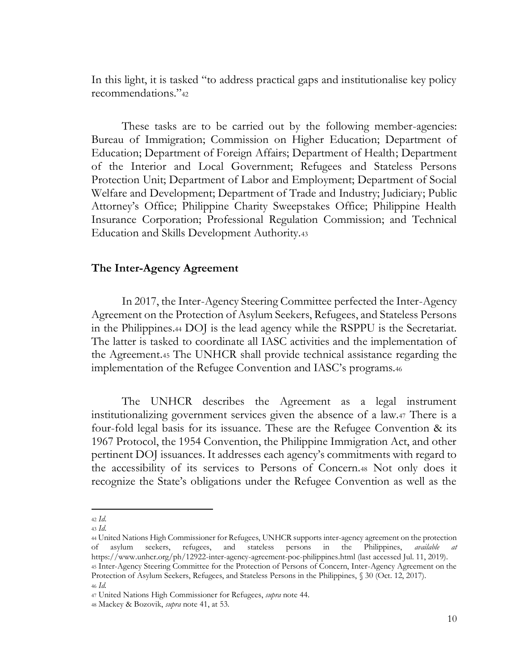In this light, it is tasked "to address practical gaps and institutionalise key policy recommendations."<sup>42</sup>

These tasks are to be carried out by the following member-agencies: Bureau of Immigration; Commission on Higher Education; Department of Education; Department of Foreign Affairs; Department of Health; Department of the Interior and Local Government; Refugees and Stateless Persons Protection Unit; Department of Labor and Employment; Department of Social Welfare and Development; Department of Trade and Industry; Judiciary; Public Attorney's Office; Philippine Charity Sweepstakes Office; Philippine Health Insurance Corporation; Professional Regulation Commission; and Technical Education and Skills Development Authority.<sup>43</sup>

#### <span id="page-14-0"></span>**The Inter-Agency Agreement**

In 2017, the Inter-Agency Steering Committee perfected the Inter-Agency Agreement on the Protection of Asylum Seekers, Refugees, and Stateless Persons in the Philippines.<sup>44</sup> DOJ is the lead agency while the RSPPU is the Secretariat. The latter is tasked to coordinate all IASC activities and the implementation of the Agreement.<sup>45</sup> The UNHCR shall provide technical assistance regarding the implementation of the Refugee Convention and IASC's programs.<sup>46</sup>

The UNHCR describes the Agreement as a legal instrument institutionalizing government services given the absence of a law.<sup>47</sup> There is a four-fold legal basis for its issuance. These are the Refugee Convention & its 1967 Protocol, the 1954 Convention, the Philippine Immigration Act, and other pertinent DOJ issuances. It addresses each agency's commitments with regard to the accessibility of its services to Persons of Concern.<sup>48</sup> Not only does it recognize the State's obligations under the Refugee Convention as well as the

<sup>42</sup> *Id*.

<sup>43</sup> *Id*.

<sup>44</sup> United Nations High Commissioner for Refugees, UNHCR supports inter-agency agreement on the protection of asylum seekers, refugees, and stateless persons in the Philippines, *available at*  https://www.unhcr.org/ph/12922-inter-agency-agreement-poc-philippines.html (last accessed Jul. 11, 2019). <sup>45</sup> Inter-Agency Steering Committee for the Protection of Persons of Concern, Inter-Agency Agreement on the Protection of Asylum Seekers, Refugees, and Stateless Persons in the Philippines, § 30 (Oct. 12, 2017). <sup>46</sup> *Id.*

<sup>47</sup> United Nations High Commissioner for Refugees, *supra* note 44.

<sup>48</sup> Mackey & Bozovik, *supra* note 41, at 53.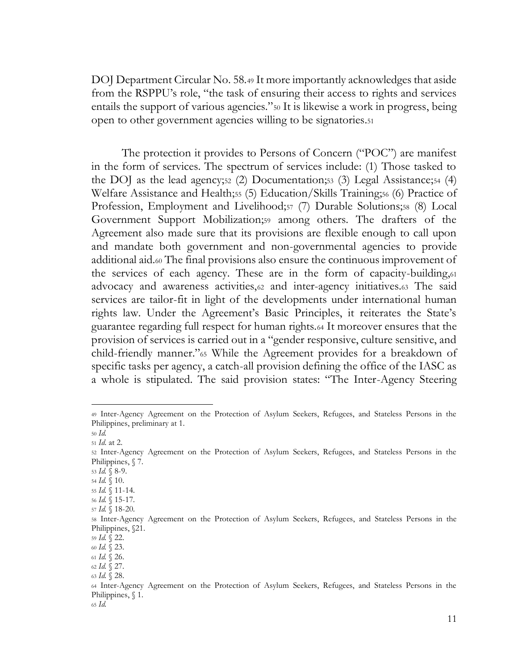DOJ Department Circular No. 58.<sup>49</sup> It more importantly acknowledges that aside from the RSPPU's role, "the task of ensuring their access to rights and services entails the support of various agencies."<sup>50</sup> It is likewise a work in progress, being open to other government agencies willing to be signatories.<sup>51</sup>

The protection it provides to Persons of Concern ("POC") are manifest in the form of services. The spectrum of services include: (1) Those tasked to the DOJ as the lead agency;<sup>52</sup> (2) Documentation;<sup>53</sup> (3) Legal Assistance;<sup>54</sup> (4) Welfare Assistance and Health;<sup>55</sup> (5) Education/Skills Training;<sup>56</sup> (6) Practice of Profession, Employment and Livelihood;<sup>57</sup> (7) Durable Solutions;<sup>58</sup> (8) Local Government Support Mobilization;<sup>59</sup> among others. The drafters of the Agreement also made sure that its provisions are flexible enough to call upon and mandate both government and non-governmental agencies to provide additional aid.<sup>60</sup> The final provisions also ensure the continuous improvement of the services of each agency. These are in the form of capacity-building,<sup>61</sup> advocacy and awareness activities,<sup>62</sup> and inter-agency initiatives.<sup>63</sup> The said services are tailor-fit in light of the developments under international human rights law. Under the Agreement's Basic Principles, it reiterates the State's guarantee regarding full respect for human rights.<sup>64</sup> It moreover ensures that the provision of services is carried out in a "gender responsive, culture sensitive, and child-friendly manner."<sup>65</sup> While the Agreement provides for a breakdown of specific tasks per agency, a catch-all provision defining the office of the IASC as a whole is stipulated. The said provision states: "The Inter-Agency Steering

<sup>65</sup> *Id.*

<sup>49</sup> Inter-Agency Agreement on the Protection of Asylum Seekers, Refugees, and Stateless Persons in the Philippines, preliminary at 1.

<sup>50</sup> *Id.* <sup>51</sup> *Id*. at 2.

<sup>52</sup> Inter-Agency Agreement on the Protection of Asylum Seekers, Refugees, and Stateless Persons in the Philippines, § 7.

<sup>53</sup> *Id.* § 8-9.

<sup>54</sup> *Id.* § 10.

<sup>55</sup> *Id.* § 11-14.

<sup>56</sup> *Id.* § 15-17. <sup>57</sup> *Id.* § 18-20.

<sup>58</sup> Inter-Agency Agreement on the Protection of Asylum Seekers, Refugees, and Stateless Persons in the Philippines, §21.

<sup>59</sup> *Id.* § 22.

<sup>60</sup> *Id.* § 23.

<sup>61</sup> *Id.* § 26. <sup>62</sup> *Id.* § 27.

<sup>63</sup> *Id.* § 28.

<sup>64</sup> Inter-Agency Agreement on the Protection of Asylum Seekers, Refugees, and Stateless Persons in the Philippines, § 1.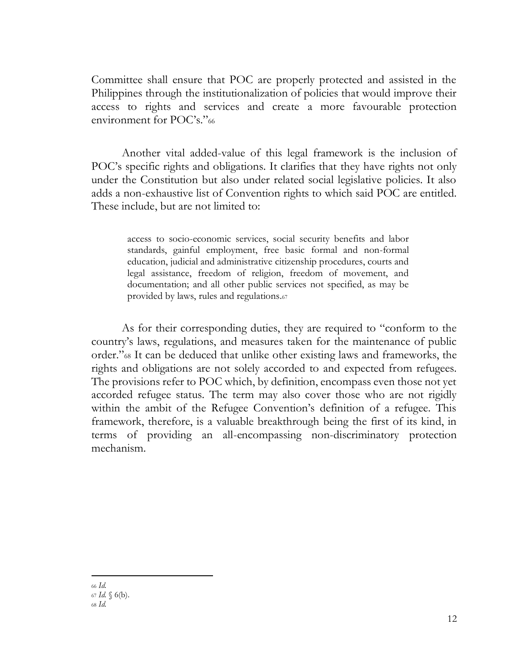Committee shall ensure that POC are properly protected and assisted in the Philippines through the institutionalization of policies that would improve their access to rights and services and create a more favourable protection environment for POC's."<sup>66</sup>

Another vital added-value of this legal framework is the inclusion of POC's specific rights and obligations. It clarifies that they have rights not only under the Constitution but also under related social legislative policies. It also adds a non-exhaustive list of Convention rights to which said POC are entitled. These include, but are not limited to:

access to socio-economic services, social security benefits and labor standards, gainful employment, free basic formal and non-formal education, judicial and administrative citizenship procedures, courts and legal assistance, freedom of religion, freedom of movement, and documentation; and all other public services not specified, as may be provided by laws, rules and regulations.<sup>67</sup>

As for their corresponding duties, they are required to "conform to the country's laws, regulations, and measures taken for the maintenance of public order."<sup>68</sup> It can be deduced that unlike other existing laws and frameworks, the rights and obligations are not solely accorded to and expected from refugees. The provisions refer to POC which, by definition, encompass even those not yet accorded refugee status. The term may also cover those who are not rigidly within the ambit of the Refugee Convention's definition of a refugee. This framework, therefore, is a valuable breakthrough being the first of its kind, in terms of providing an all-encompassing non-discriminatory protection mechanism.

<span id="page-16-0"></span><sup>66</sup> *Id.*

<sup>67</sup> *Id.* § 6(b).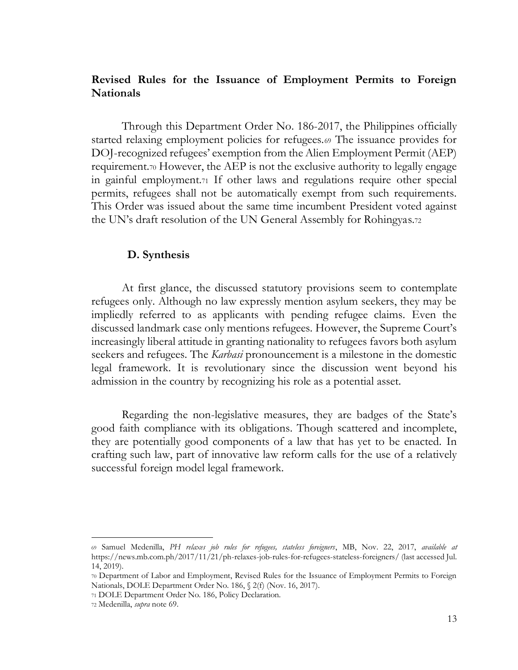# **Revised Rules for the Issuance of Employment Permits to Foreign Nationals**

Through this Department Order No. 186-2017, the Philippines officially started relaxing employment policies for refugees.<sup>69</sup> The issuance provides for DOJ-recognized refugees' exemption from the Alien Employment Permit (AEP) requirement.<sup>70</sup> However, the AEP is not the exclusive authority to legally engage in gainful employment.<sup>71</sup> If other laws and regulations require other special permits, refugees shall not be automatically exempt from such requirements. This Order was issued about the same time incumbent President voted against the UN's draft resolution of the UN General Assembly for Rohingyas.<sup>72</sup>

### **D. Synthesis**

<span id="page-17-0"></span>At first glance, the discussed statutory provisions seem to contemplate refugees only. Although no law expressly mention asylum seekers, they may be impliedly referred to as applicants with pending refugee claims. Even the discussed landmark case only mentions refugees. However, the Supreme Court's increasingly liberal attitude in granting nationality to refugees favors both asylum seekers and refugees. The *Karbasi* pronouncement is a milestone in the domestic legal framework. It is revolutionary since the discussion went beyond his admission in the country by recognizing his role as a potential asset.

Regarding the non-legislative measures, they are badges of the State's good faith compliance with its obligations. Though scattered and incomplete, they are potentially good components of a law that has yet to be enacted. In crafting such law, part of innovative law reform calls for the use of a relatively successful foreign model legal framework.

<sup>69</sup> Samuel Medenilla, *PH relaxes job rules for refugees, stateless foreigners*, MB, Nov. 22, 2017, *available at*  https://news.mb.com.ph/2017/11/21/ph-relaxes-job-rules-for-refugees-stateless-foreigners/ (last accessed Jul. 14, 2019).

<sup>70</sup> Department of Labor and Employment, Revised Rules for the Issuance of Employment Permits to Foreign Nationals, DOLE Department Order No. 186, § 2(f) (Nov. 16, 2017).

<sup>71</sup> DOLE Department Order No. 186, Policy Declaration.

<sup>72</sup> Medenilla, *supra* note 69.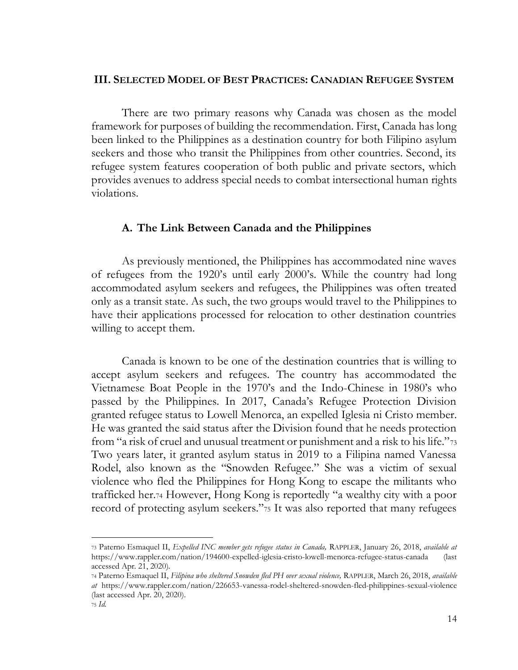### <span id="page-18-0"></span>**III. SELECTED MODEL OF BEST PRACTICES: CANADIAN REFUGEE SYSTEM**

There are two primary reasons why Canada was chosen as the model framework for purposes of building the recommendation. First, Canada has long been linked to the Philippines as a destination country for both Filipino asylum seekers and those who transit the Philippines from other countries. Second, its refugee system features cooperation of both public and private sectors, which provides avenues to address special needs to combat intersectional human rights violations.

#### <span id="page-18-1"></span>**A. The Link Between Canada and the Philippines**

As previously mentioned, the Philippines has accommodated nine waves of refugees from the 1920's until early 2000's. While the country had long accommodated asylum seekers and refugees, the Philippines was often treated only as a transit state. As such, the two groups would travel to the Philippines to have their applications processed for relocation to other destination countries willing to accept them.

Canada is known to be one of the destination countries that is willing to accept asylum seekers and refugees. The country has accommodated the Vietnamese Boat People in the 1970's and the Indo-Chinese in 1980's who passed by the Philippines. In 2017, Canada's Refugee Protection Division granted refugee status to Lowell Menorca, an expelled Iglesia ni Cristo member. He was granted the said status after the Division found that he needs protection from "a risk of cruel and unusual treatment or punishment and a risk to his life."<sup>73</sup> Two years later, it granted asylum status in 2019 to a Filipina named Vanessa Rodel, also known as the "Snowden Refugee." She was a victim of sexual violence who fled the Philippines for Hong Kong to escape the militants who trafficked her.<sup>74</sup> However, Hong Kong is reportedly "a wealthy city with a poor record of protecting asylum seekers."<sup>75</sup> It was also reported that many refugees

<sup>73</sup> Paterno Esmaquel II, *Expelled INC member gets refugee status in Canada,* RAPPLER, January 26, 2018, *available at*  https://www.rappler.com/nation/194600-expelled-iglesia-cristo-lowell-menorca-refugee-status-canada (last accessed Apr. 21, 2020).

<sup>74</sup> Paterno Esmaquel II, *Filipina who sheltered Snowden fled PH over sexual violence,* RAPPLER, March 26, 2018, *available at* https://www.rappler.com/nation/226653-vanessa-rodel-sheltered-snowden-fled-philippines-sexual-violence (last accessed Apr. 20, 2020).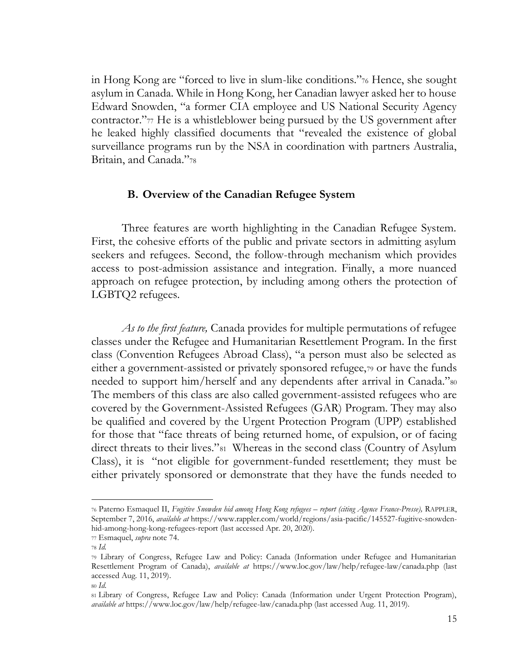in Hong Kong are "forced to live in slum-like conditions."<sup>76</sup> Hence, she sought asylum in Canada. While in Hong Kong, her Canadian lawyer asked her to house Edward Snowden, "a former CIA employee and US National Security Agency contractor."<sup>77</sup> He is a whistleblower being pursued by the US government after he leaked highly classified documents that "revealed the existence of global surveillance programs run by the NSA in coordination with partners Australia, Britain, and Canada."<sup>78</sup>

### **B. Overview of the Canadian Refugee System**

<span id="page-19-0"></span>Three features are worth highlighting in the Canadian Refugee System. First, the cohesive efforts of the public and private sectors in admitting asylum seekers and refugees. Second, the follow-through mechanism which provides access to post-admission assistance and integration. Finally, a more nuanced approach on refugee protection, by including among others the protection of LGBTQ2 refugees.

*As to the first feature,* Canada provides for multiple permutations of refugee classes under the Refugee and Humanitarian Resettlement Program. In the first class (Convention Refugees Abroad Class), "a person must also be selected as either a government-assisted or privately sponsored refugee,<sup>79</sup> or have the funds needed to support him/herself and any dependents after arrival in Canada."<sup>80</sup> The members of this class are also called government-assisted refugees who are covered by the Government-Assisted Refugees (GAR) Program. They may also be qualified and covered by the Urgent Protection Program (UPP) established for those that "face threats of being returned home, of expulsion, or of facing direct threats to their lives."81 Whereas in the second class (Country of Asylum Class), it is "not eligible for government-funded resettlement; they must be either privately sponsored or demonstrate that they have the funds needed to

<sup>76</sup> Paterno Esmaquel II, *Fugitive Snowden hid among Hong Kong refugees – report (citing Agence France-Presse),* RAPPLER, September 7, 2016, *available at* https://www.rappler.com/world/regions/asia-pacific/145527-fugitive-snowdenhid-among-hong-kong-refugees-report (last accessed Apr. 20, 2020).

<sup>77</sup> Esmaquel, *supra* note 74.

<sup>78</sup> *Id.* 

<sup>79</sup> Library of Congress, Refugee Law and Policy: Canada (Information under Refugee and Humanitarian Resettlement Program of Canada), *available at* https://www.loc.gov/law/help/refugee-law/canada.php (last accessed Aug. 11, 2019).

<sup>80</sup> *Id*.

<sup>81</sup> Library of Congress, Refugee Law and Policy: Canada (Information under Urgent Protection Program), *available at* https://www.loc.gov/law/help/refugee-law/canada.php (last accessed Aug. 11, 2019).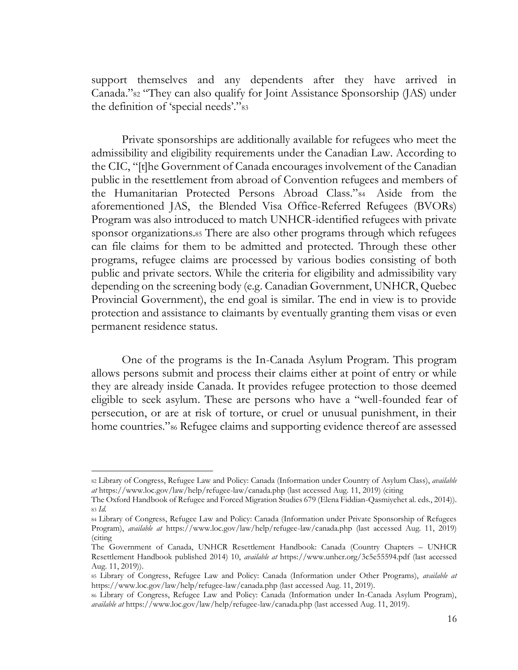support themselves and any dependents after they have arrived in Canada."<sup>82</sup> "They can also qualify for Joint Assistance Sponsorship (JAS) under the definition of 'special needs'."<sup>83</sup>

Private sponsorships are additionally available for refugees who meet the admissibility and eligibility requirements under the Canadian Law. According to the CIC, "[t]he Government of Canada encourages involvement of the Canadian public in the resettlement from abroad of Convention refugees and members of the Humanitarian Protected Persons Abroad Class."<sup>84</sup> Aside from the aforementioned JAS, the Blended Visa Office-Referred Refugees (BVORs) Program was also introduced to match UNHCR-identified refugees with private sponsor organizations.<sup>85</sup> There are also other programs through which refugees can file claims for them to be admitted and protected. Through these other programs, refugee claims are processed by various bodies consisting of both public and private sectors. While the criteria for eligibility and admissibility vary depending on the screening body (e.g. Canadian Government, UNHCR, Quebec Provincial Government), the end goal is similar. The end in view is to provide protection and assistance to claimants by eventually granting them visas or even permanent residence status.

One of the programs is the In-Canada Asylum Program. This program allows persons submit and process their claims either at point of entry or while they are already inside Canada. It provides refugee protection to those deemed eligible to seek asylum. These are persons who have a "well-founded fear of persecution, or are at risk of torture, or cruel or unusual punishment, in their home countries."<sup>86</sup> Refugee claims and supporting evidence thereof are assessed

<sup>82</sup> Library of Congress, Refugee Law and Policy: Canada (Information under Country of Asylum Class), *available at* https://www.loc.gov/law/help/refugee-law/canada.php (last accessed Aug. 11, 2019) (citing

The Oxford Handbook of Refugee and Forced Migration Studies 679 (Elena Fiddian-Qasmiyehet al. eds., 2014)). <sup>83</sup> *Id.*

<sup>84</sup> Library of Congress, Refugee Law and Policy: Canada (Information under Private Sponsorship of Refugees Program), *available at* https://www.loc.gov/law/help/refugee-law/canada.php (last accessed Aug. 11, 2019) (citing

The Government of Canada, UNHCR Resettlement Handbook: Canada (Country Chapters – UNHCR Resettlement Handbook published 2014) 10, *available at* https://www.unhcr.org/3c5e55594.pdf (last accessed Aug. 11, 2019)).

<sup>85</sup> Library of Congress, Refugee Law and Policy: Canada (Information under Other Programs), *available at*  https://www.loc.gov/law/help/refugee-law/canada.php (last accessed Aug. 11, 2019).

<sup>86</sup> Library of Congress, Refugee Law and Policy: Canada (Information under In-Canada Asylum Program), *available at* https://www.loc.gov/law/help/refugee-law/canada.php (last accessed Aug. 11, 2019).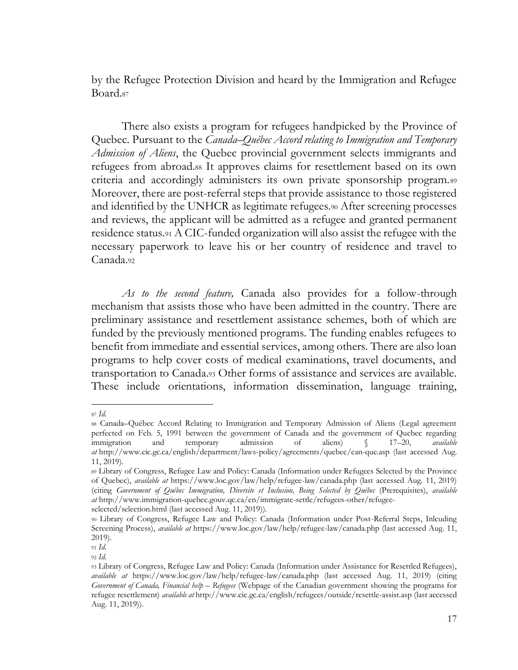by the Refugee Protection Division and heard by the Immigration and Refugee Board.<sup>87</sup>

There also exists a program for refugees handpicked by the Province of Quebec. Pursuant to the *Canada–Québec Accord relating to Immigration and Temporary Admission of Aliens*, the Quebec provincial government selects immigrants and refugees from abroad.<sup>88</sup> It approves claims for resettlement based on its own criteria and accordingly administers its own private sponsorship program.<sup>89</sup> Moreover, there are post-referral steps that provide assistance to those registered and identified by the UNHCR as legitimate refugees.<sup>90</sup> After screening processes and reviews, the applicant will be admitted as a refugee and granted permanent residence status.<sup>91</sup> A CIC-funded organization will also assist the refugee with the necessary paperwork to leave his or her country of residence and travel to Canada.<sup>92</sup>

*As to the second feature,* Canada also provides for a follow-through mechanism that assists those who have been admitted in the country. There are preliminary assistance and resettlement assistance schemes, both of which are funded by the previously mentioned programs. The funding enables refugees to benefit from immediate and essential services, among others. There are also loan programs to help cover costs of medical examinations, travel documents, and transportation to Canada.<sup>93</sup> Other forms of assistance and services are available. These include orientations, information dissemination, language training,

<sup>87</sup> *Id.*

<sup>88</sup> Canada–Québec Accord Relating to Immigration and Temporary Admission of Aliens (Legal agreement perfected on Feb. 5, 1991 between the government of Canada and the government of Quebec regarding immigration and temporary admission of aliens) § 17–20, *available at* http://www.cic.gc.ca/english/department/laws-policy/agreements/quebec/can-que.asp (last accessed Aug. 11, 2019).

<sup>89</sup> Library of Congress, Refugee Law and Policy: Canada (Information under Refugees Selected by the Province of Quebec), *available at* https://www.loc.gov/law/help/refugee-law/canada.php (last accessed Aug. 11, 2019) (citing *Government of Québec Immigration, Diversite et Inclusion, Being Selected by Québec* (Prerequisites), *available at* http://www.immigration-quebec.gouv.qc.ca/en/immigrate-settle/refugees-other/refugee-

selected/selection.html (last accessed Aug. 11, 2019)).

<sup>90</sup> Library of Congress, Refugee Law and Policy: Canada (Information under Post-Referral Steps, Inlcuding Screening Process), *available at* https://www.loc.gov/law/help/refugee-law/canada.php (last accessed Aug. 11, 2019).

<sup>91</sup> *Id*.

<sup>92</sup> *Id*.

<sup>93</sup> Library of Congress, Refugee Law and Policy: Canada (Information under Assistance for Resettled Refugees), *available at* https://www.loc.gov/law/help/refugee-law/canada.php (last accessed Aug. 11, 2019) (citing *Government of Canada, Financial help – Refugees* (Webpage of the Canadian government showing the programs for refugee resettlement) *available at* http://www.cic.gc.ca/english/refugees/outside/resettle-assist.asp (last accessed Aug. 11, 2019)).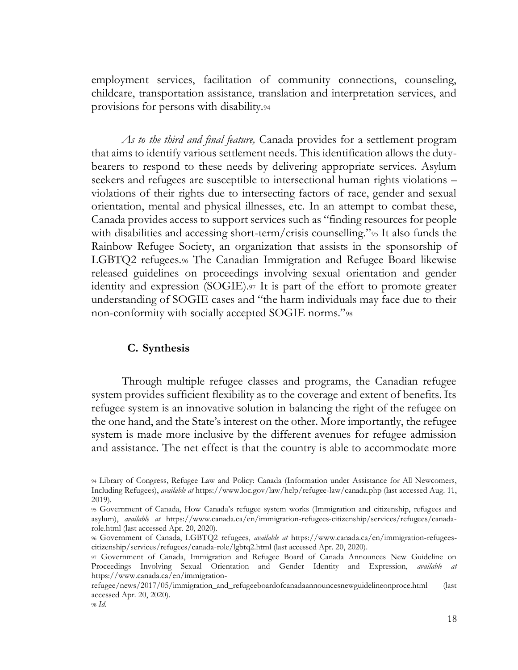employment services, facilitation of community connections, counseling, childcare, transportation assistance, translation and interpretation services, and provisions for persons with disability.<sup>94</sup>

*As to the third and final feature,* Canada provides for a settlement program that aims to identify various settlement needs. This identification allows the dutybearers to respond to these needs by delivering appropriate services. Asylum seekers and refugees are susceptible to intersectional human rights violations – violations of their rights due to intersecting factors of race, gender and sexual orientation, mental and physical illnesses, etc. In an attempt to combat these, Canada provides access to support services such as "finding resources for people with disabilities and accessing short-term/crisis counselling."<sup>95</sup> It also funds the Rainbow Refugee Society, an organization that assists in the sponsorship of LGBTQ2 refugees.<sup>96</sup> The Canadian Immigration and Refugee Board likewise released guidelines on proceedings involving sexual orientation and gender identity and expression (SOGIE).<sup>97</sup> It is part of the effort to promote greater understanding of SOGIE cases and "the harm individuals may face due to their non-conformity with socially accepted SOGIE norms."<sup>98</sup>

### **C. Synthesis**

<span id="page-22-0"></span>Through multiple refugee classes and programs, the Canadian refugee system provides sufficient flexibility as to the coverage and extent of benefits. Its refugee system is an innovative solution in balancing the right of the refugee on the one hand, and the State's interest on the other. More importantly, the refugee system is made more inclusive by the different avenues for refugee admission and assistance. The net effect is that the country is able to accommodate more

<sup>94</sup> Library of Congress, Refugee Law and Policy: Canada (Information under Assistance for All Newcomers, Including Refugees), *available at* https://www.loc.gov/law/help/refugee-law/canada.php (last accessed Aug. 11, 2019).

<sup>95</sup> Government of Canada, How Canada's refugee system works (Immigration and citizenship, refugees and asylum), *available at* https://www.canada.ca/en/immigration-refugees-citizenship/services/refugees/canadarole.html (last accessed Apr. 20, 2020).

<sup>96</sup> Government of Canada, LGBTQ2 refugees, *available at* https://www.canada.ca/en/immigration-refugeescitizenship/services/refugees/canada-role/lgbtq2.html (last accessed Apr. 20, 2020).

<sup>97</sup> Government of Canada, Immigration and Refugee Board of Canada Announces New Guideline on Proceedings Involving Sexual Orientation and Gender Identity and Expression, *available at*  https://www.canada.ca/en/immigration-

refugee/news/2017/05/immigration\_and\_refugeeboardofcanadaannouncesnewguidelineonproce.html (last accessed Apr. 20, 2020).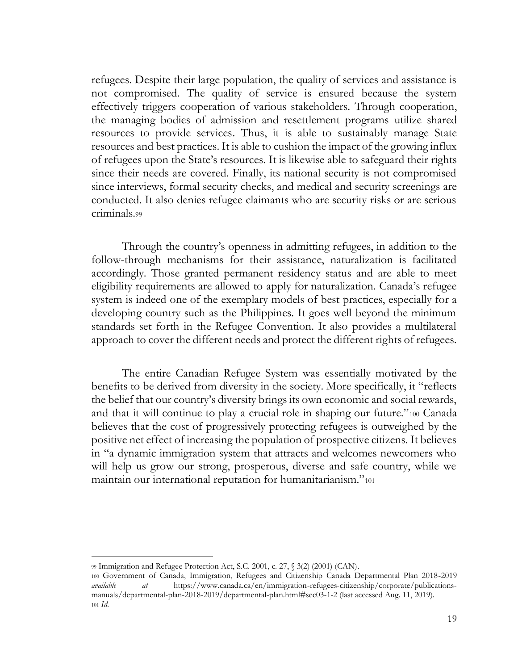refugees. Despite their large population, the quality of services and assistance is not compromised. The quality of service is ensured because the system effectively triggers cooperation of various stakeholders. Through cooperation, the managing bodies of admission and resettlement programs utilize shared resources to provide services. Thus, it is able to sustainably manage State resources and best practices. It is able to cushion the impact of the growing influx of refugees upon the State's resources. It is likewise able to safeguard their rights since their needs are covered. Finally, its national security is not compromised since interviews, formal security checks, and medical and security screenings are conducted. It also denies refugee claimants who are security risks or are serious criminals.<sup>99</sup>

Through the country's openness in admitting refugees, in addition to the follow-through mechanisms for their assistance, naturalization is facilitated accordingly. Those granted permanent residency status and are able to meet eligibility requirements are allowed to apply for naturalization. Canada's refugee system is indeed one of the exemplary models of best practices, especially for a developing country such as the Philippines. It goes well beyond the minimum standards set forth in the Refugee Convention. It also provides a multilateral approach to cover the different needs and protect the different rights of refugees.

The entire Canadian Refugee System was essentially motivated by the benefits to be derived from diversity in the society. More specifically, it "reflects the belief that our country's diversity brings its own economic and social rewards, and that it will continue to play a crucial role in shaping our future."<sup>100</sup> Canada believes that the cost of progressively protecting refugees is outweighed by the positive net effect of increasing the population of prospective citizens. It believes in "a dynamic immigration system that attracts and welcomes newcomers who will help us grow our strong, prosperous, diverse and safe country, while we maintain our international reputation for humanitarianism."<sup>101</sup>

<sup>99</sup> Immigration and Refugee Protection Act, S.C. 2001, c. 27, § 3(2) (2001) (CAN).

<sup>100</sup> Government of Canada, Immigration, Refugees and Citizenship Canada Departmental Plan 2018-2019 *available at* https://www.canada.ca/en/immigration-refugees-citizenship/corporate/publicationsmanuals/departmental-plan-2018-2019/departmental-plan.html#sec03-1-2 (last accessed Aug. 11, 2019). <sup>101</sup> *Id*.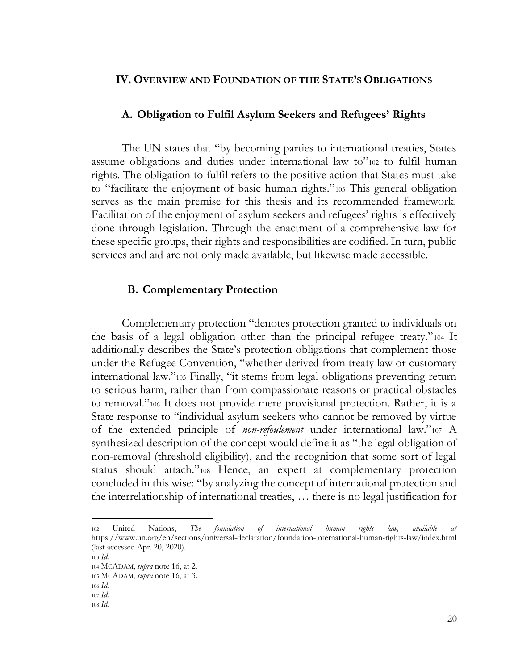### <span id="page-24-0"></span>**IV. OVERVIEW AND FOUNDATION OF THE STATE'S OBLIGATIONS**

#### <span id="page-24-1"></span>**A. Obligation to Fulfil Asylum Seekers and Refugees' Rights**

The UN states that "by becoming parties to international treaties, States assume obligations and duties under international law to"<sup>102</sup> to fulfil human rights. The obligation to fulfil refers to the positive action that States must take to "facilitate the enjoyment of basic human rights."<sup>103</sup> This general obligation serves as the main premise for this thesis and its recommended framework. Facilitation of the enjoyment of asylum seekers and refugees' rights is effectively done through legislation. Through the enactment of a comprehensive law for these specific groups, their rights and responsibilities are codified. In turn, public services and aid are not only made available, but likewise made accessible.

#### **B. Complementary Protection**

<span id="page-24-2"></span>Complementary protection "denotes protection granted to individuals on the basis of a legal obligation other than the principal refugee treaty."<sup>104</sup> It additionally describes the State's protection obligations that complement those under the Refugee Convention, "whether derived from treaty law or customary international law."<sup>105</sup> Finally, "it stems from legal obligations preventing return to serious harm, rather than from compassionate reasons or practical obstacles to removal."<sup>106</sup> It does not provide mere provisional protection. Rather, it is a State response to "individual asylum seekers who cannot be removed by virtue of the extended principle of *non-refoulement* under international law."<sup>107</sup> A synthesized description of the concept would define it as "the legal obligation of non-removal (threshold eligibility), and the recognition that some sort of legal status should attach."<sup>108</sup> Hence, an expert at complementary protection concluded in this wise: "by analyzing the concept of international protection and the interrelationship of international treaties, … there is no legal justification for

<sup>102</sup> United Nations, *The foundation of international human rights law, available at*  https://www.un.org/en/sections/universal-declaration/foundation-international-human-rights-law/index.html (last accessed Apr. 20, 2020).

<sup>103</sup> *Id.* 

<sup>104</sup> MCADAM, *supra* note 16, at 2.

<sup>105</sup> MCADAM, *supra* note 16, at 3.

<sup>106</sup> *Id.*

<sup>107</sup> *Id.*

<sup>108</sup> *Id.*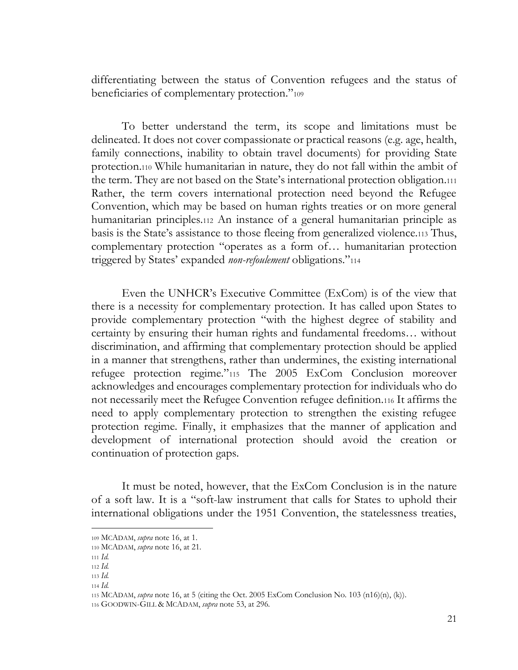differentiating between the status of Convention refugees and the status of beneficiaries of complementary protection."<sup>109</sup>

To better understand the term, its scope and limitations must be delineated. It does not cover compassionate or practical reasons (e.g. age, health, family connections, inability to obtain travel documents) for providing State protection.<sup>110</sup> While humanitarian in nature, they do not fall within the ambit of the term. They are not based on the State's international protection obligation.<sup>111</sup> Rather, the term covers international protection need beyond the Refugee Convention, which may be based on human rights treaties or on more general humanitarian principles.<sup>112</sup> An instance of a general humanitarian principle as basis is the State's assistance to those fleeing from generalized violence.<sup>113</sup> Thus, complementary protection "operates as a form of… humanitarian protection triggered by States' expanded *non-refoulement* obligations."<sup>114</sup>

Even the UNHCR's Executive Committee (ExCom) is of the view that there is a necessity for complementary protection. It has called upon States to provide complementary protection "with the highest degree of stability and certainty by ensuring their human rights and fundamental freedoms… without discrimination, and affirming that complementary protection should be applied in a manner that strengthens, rather than undermines, the existing international refugee protection regime."<sup>115</sup> The 2005 ExCom Conclusion moreover acknowledges and encourages complementary protection for individuals who do not necessarily meet the Refugee Convention refugee definition.<sup>116</sup> It affirms the need to apply complementary protection to strengthen the existing refugee protection regime. Finally, it emphasizes that the manner of application and development of international protection should avoid the creation or continuation of protection gaps.

It must be noted, however, that the ExCom Conclusion is in the nature of a soft law. It is a "soft-law instrument that calls for States to uphold their international obligations under the 1951 Convention, the statelessness treaties,

<sup>109</sup> MCADAM, *supra* note 16, at 1.

<sup>110</sup> MCADAM, *supra* note 16, at 21.

<sup>111</sup> *Id.*

<sup>112</sup> *Id.*

<sup>113</sup> *Id.*

<sup>114</sup> *Id.*

<sup>115</sup> MCADAM, *supra* note 16, at 5 (citing the Oct. 2005 ExCom Conclusion No. 103 (n16)(n), (k)).

<sup>116</sup> GOODWIN-GILL & MCADAM, *supra* note 53, at 296.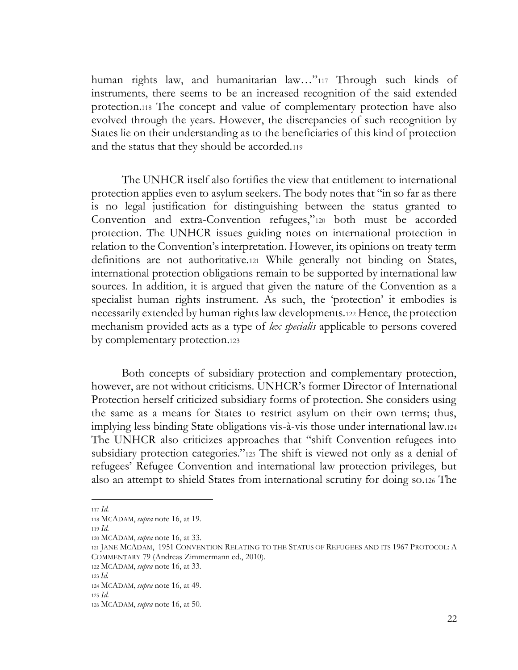human rights law, and humanitarian law..."<sup>117</sup> Through such kinds of instruments, there seems to be an increased recognition of the said extended protection.<sup>118</sup> The concept and value of complementary protection have also evolved through the years. However, the discrepancies of such recognition by States lie on their understanding as to the beneficiaries of this kind of protection and the status that they should be accorded.<sup>119</sup>

The UNHCR itself also fortifies the view that entitlement to international protection applies even to asylum seekers. The body notes that "in so far as there is no legal justification for distinguishing between the status granted to Convention and extra-Convention refugees,"<sup>120</sup> both must be accorded protection. The UNHCR issues guiding notes on international protection in relation to the Convention's interpretation. However, its opinions on treaty term definitions are not authoritative.<sup>121</sup> While generally not binding on States, international protection obligations remain to be supported by international law sources. In addition, it is argued that given the nature of the Convention as a specialist human rights instrument. As such, the 'protection' it embodies is necessarily extended by human rights law developments.<sup>122</sup> Hence, the protection mechanism provided acts as a type of *lex specialis* applicable to persons covered by complementary protection.<sup>123</sup>

Both concepts of subsidiary protection and complementary protection, however, are not without criticisms. UNHCR's former Director of International Protection herself criticized subsidiary forms of protection. She considers using the same as a means for States to restrict asylum on their own terms; thus, implying less binding State obligations vis-à-vis those under international law.<sup>124</sup> The UNHCR also criticizes approaches that "shift Convention refugees into subsidiary protection categories."<sup>125</sup> The shift is viewed not only as a denial of refugees' Refugee Convention and international law protection privileges, but also an attempt to shield States from international scrutiny for doing so.<sup>126</sup> The

<sup>117</sup> *Id.*

<sup>118</sup> MCADAM, *supra* note 16, at 19.

<sup>119</sup> *Id.*

<sup>120</sup> MCADAM, *supra* note 16, at 33.

<sup>121</sup> JANE MCADAM, 1951 CONVENTION RELATING TO THE STATUS OF REFUGEES AND ITS 1967 PROTOCOL: A COMMENTARY 79 (Andreas Zimmermann ed., 2010).

<sup>122</sup> MCADAM, *supra* note 16, at 33.

<sup>123</sup> *Id.*

<sup>124</sup> MCADAM, *supra* note 16, at 49.

<sup>125</sup> *Id.*

<sup>126</sup> MCADAM, *supra* note 16, at 50.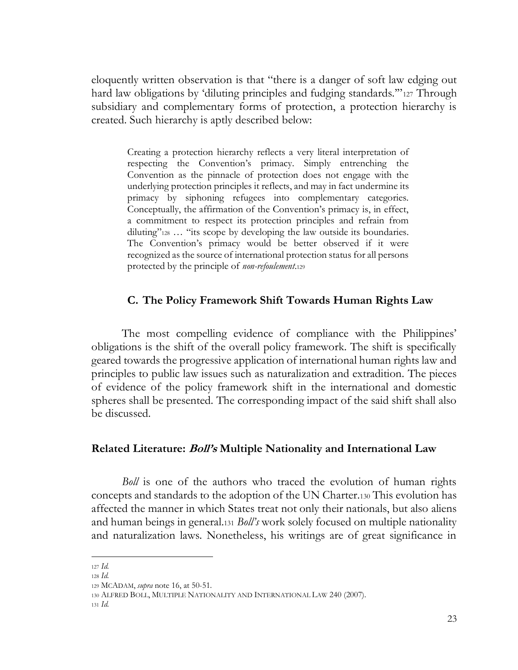eloquently written observation is that "there is a danger of soft law edging out hard law obligations by 'diluting principles and fudging standards."<sup>1</sup><sup>127</sup> Through subsidiary and complementary forms of protection, a protection hierarchy is created. Such hierarchy is aptly described below:

Creating a protection hierarchy reflects a very literal interpretation of respecting the Convention's primacy. Simply entrenching the Convention as the pinnacle of protection does not engage with the underlying protection principles it reflects, and may in fact undermine its primacy by siphoning refugees into complementary categories. Conceptually, the affirmation of the Convention's primacy is, in effect, a commitment to respect its protection principles and refrain from diluting"<sup>128</sup> … "its scope by developing the law outside its boundaries. The Convention's primacy would be better observed if it were recognized as the source of international protection status for all persons protected by the principle of *non-refoulement*.<sup>129</sup>

# **C. The Policy Framework Shift Towards Human Rights Law**

<span id="page-27-0"></span>The most compelling evidence of compliance with the Philippines' obligations is the shift of the overall policy framework. The shift is specifically geared towards the progressive application of international human rights law and principles to public law issues such as naturalization and extradition. The pieces of evidence of the policy framework shift in the international and domestic spheres shall be presented. The corresponding impact of the said shift shall also be discussed.

### <span id="page-27-1"></span>**Related Literature: Boll's Multiple Nationality and International Law**

*Boll* is one of the authors who traced the evolution of human rights concepts and standards to the adoption of the UN Charter.<sup>130</sup> This evolution has affected the manner in which States treat not only their nationals, but also aliens and human beings in general.<sup>131</sup> *Boll's* work solely focused on multiple nationality and naturalization laws. Nonetheless, his writings are of great significance in

<sup>127</sup> *Id.*

<sup>128</sup> *Id.*

<sup>129</sup> MCADAM, *supra* note 16, at 50-51.

<sup>130</sup> ALFRED BOLL, MULTIPLE NATIONALITY AND INTERNATIONAL LAW 240 (2007).

<sup>131</sup> *Id.*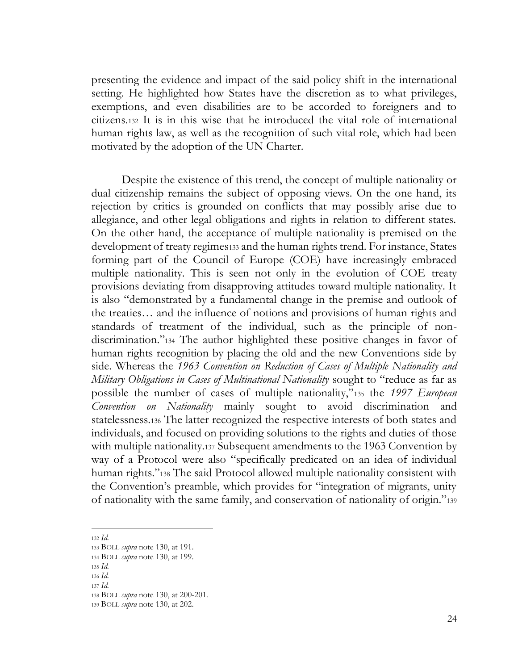presenting the evidence and impact of the said policy shift in the international setting. He highlighted how States have the discretion as to what privileges, exemptions, and even disabilities are to be accorded to foreigners and to citizens.<sup>132</sup> It is in this wise that he introduced the vital role of international human rights law, as well as the recognition of such vital role, which had been motivated by the adoption of the UN Charter.

Despite the existence of this trend, the concept of multiple nationality or dual citizenship remains the subject of opposing views. On the one hand, its rejection by critics is grounded on conflicts that may possibly arise due to allegiance, and other legal obligations and rights in relation to different states. On the other hand, the acceptance of multiple nationality is premised on the development of treaty regimes133 and the human rights trend. For instance, States forming part of the Council of Europe (COE) have increasingly embraced multiple nationality. This is seen not only in the evolution of COE treaty provisions deviating from disapproving attitudes toward multiple nationality. It is also "demonstrated by a fundamental change in the premise and outlook of the treaties… and the influence of notions and provisions of human rights and standards of treatment of the individual, such as the principle of nondiscrimination."<sup>134</sup> The author highlighted these positive changes in favor of human rights recognition by placing the old and the new Conventions side by side. Whereas the *1963 Convention on Reduction of Cases of Multiple Nationality and Military Obligations in Cases of Multinational Nationality* sought to "reduce as far as possible the number of cases of multiple nationality,"<sup>135</sup> the *1997 European Convention on Nationality* mainly sought to avoid discrimination and statelessness.<sup>136</sup> The latter recognized the respective interests of both states and individuals, and focused on providing solutions to the rights and duties of those with multiple nationality.<sup>137</sup> Subsequent amendments to the 1963 Convention by way of a Protocol were also "specifically predicated on an idea of individual human rights."<sup>138</sup> The said Protocol allowed multiple nationality consistent with the Convention's preamble, which provides for "integration of migrants, unity of nationality with the same family, and conservation of nationality of origin."<sup>139</sup>

<sup>132</sup> *Id.* 

<sup>133</sup> BOLL *supra* note 130, at 191.

<sup>134</sup> BOLL *supra* note 130, at 199.

<sup>135</sup> *Id.*

<sup>136</sup> *Id.* 

<sup>137</sup> *Id.* 

<sup>138</sup> BOLL *supra* note 130, at 200-201.

<sup>139</sup> BOLL *supra* note 130, at 202.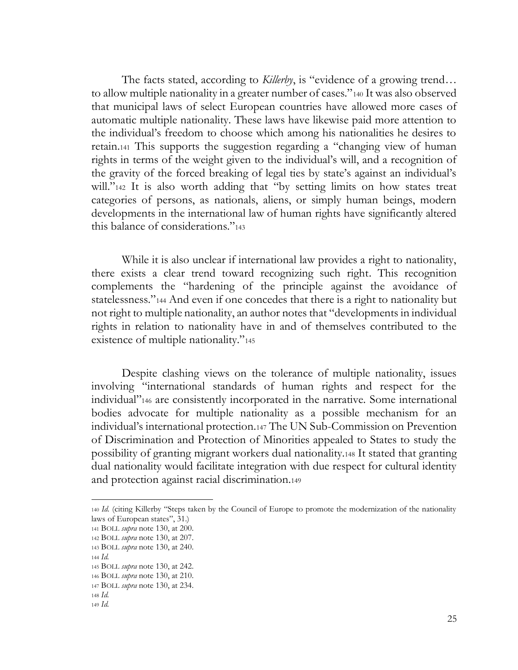The facts stated, according to *Killerby*, is "evidence of a growing trend… to allow multiple nationality in a greater number of cases."<sup>140</sup> It was also observed that municipal laws of select European countries have allowed more cases of automatic multiple nationality. These laws have likewise paid more attention to the individual's freedom to choose which among his nationalities he desires to retain.<sup>141</sup> This supports the suggestion regarding a "changing view of human rights in terms of the weight given to the individual's will, and a recognition of the gravity of the forced breaking of legal ties by state's against an individual's will."<sup>142</sup> It is also worth adding that "by setting limits on how states treat categories of persons, as nationals, aliens, or simply human beings, modern developments in the international law of human rights have significantly altered this balance of considerations."<sup>143</sup>

While it is also unclear if international law provides a right to nationality, there exists a clear trend toward recognizing such right. This recognition complements the "hardening of the principle against the avoidance of statelessness."<sup>144</sup> And even if one concedes that there is a right to nationality but not right to multiple nationality, an author notes that "developments in individual rights in relation to nationality have in and of themselves contributed to the existence of multiple nationality."<sup>145</sup>

Despite clashing views on the tolerance of multiple nationality, issues involving "international standards of human rights and respect for the individual"<sup>146</sup> are consistently incorporated in the narrative. Some international bodies advocate for multiple nationality as a possible mechanism for an individual's international protection.<sup>147</sup> The UN Sub-Commission on Prevention of Discrimination and Protection of Minorities appealed to States to study the possibility of granting migrant workers dual nationality.<sup>148</sup> It stated that granting dual nationality would facilitate integration with due respect for cultural identity and protection against racial discrimination.<sup>149</sup>

<sup>140</sup> *Id.* (citing Killerby "Steps taken by the Council of Europe to promote the modernization of the nationality laws of European states", 31.)

<sup>141</sup> BOLL *supra* note 130, at 200.

<sup>142</sup> BOLL *supra* note 130, at 207.

<sup>143</sup> BOLL *supra* note 130, at 240.

<sup>144</sup> *Id.* 

<sup>145</sup> BOLL *supra* note 130, at 242.

<sup>146</sup> BOLL *supra* note 130, at 210. <sup>147</sup> BOLL *supra* note 130, at 234.

<sup>148</sup> *Id.* 

<sup>149</sup> *Id.*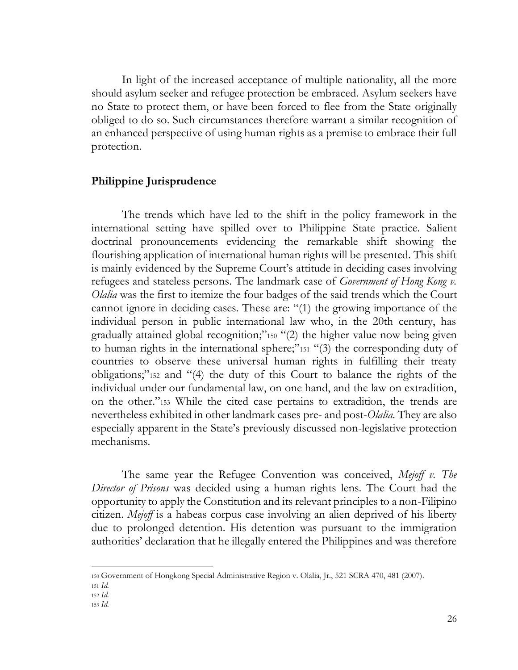In light of the increased acceptance of multiple nationality, all the more should asylum seeker and refugee protection be embraced. Asylum seekers have no State to protect them, or have been forced to flee from the State originally obliged to do so. Such circumstances therefore warrant a similar recognition of an enhanced perspective of using human rights as a premise to embrace their full protection.

### <span id="page-30-0"></span>**Philippine Jurisprudence**

The trends which have led to the shift in the policy framework in the international setting have spilled over to Philippine State practice. Salient doctrinal pronouncements evidencing the remarkable shift showing the flourishing application of international human rights will be presented. This shift is mainly evidenced by the Supreme Court's attitude in deciding cases involving refugees and stateless persons. The landmark case of *Government of Hong Kong v. Olalia* was the first to itemize the four badges of the said trends which the Court cannot ignore in deciding cases. These are: "(1) the growing importance of the individual person in public international law who, in the 20th century, has gradually attained global recognition;"<sup>150</sup> "(2) the higher value now being given to human rights in the international sphere;"<sup>151</sup> "(3) the corresponding duty of countries to observe these universal human rights in fulfilling their treaty obligations;"<sup>152</sup> and "(4) the duty of this Court to balance the rights of the individual under our fundamental law, on one hand, and the law on extradition, on the other."<sup>153</sup> While the cited case pertains to extradition, the trends are nevertheless exhibited in other landmark cases pre- and post-*Olalia.* They are also especially apparent in the State's previously discussed non-legislative protection mechanisms.

The same year the Refugee Convention was conceived, *Mejoff v. The Director of Prisons* was decided using a human rights lens. The Court had the opportunity to apply the Constitution and its relevant principles to a non-Filipino citizen. *Mejoff* is a habeas corpus case involving an alien deprived of his liberty due to prolonged detention. His detention was pursuant to the immigration authorities' declaration that he illegally entered the Philippines and was therefore

<sup>150</sup> Government of Hongkong Special Administrative Region v. Olalia, Jr., 521 SCRA 470, 481 (2007).

<sup>151</sup> *Id.*

<sup>152</sup> *Id.* 

<sup>153</sup> *Id.*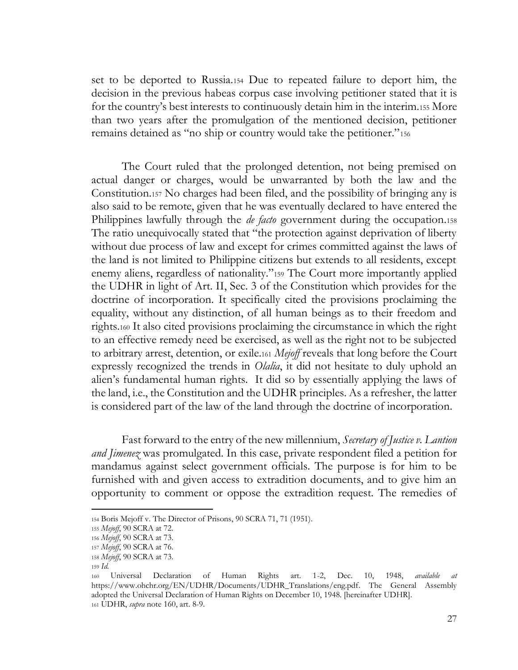set to be deported to Russia.<sup>154</sup> Due to repeated failure to deport him, the decision in the previous habeas corpus case involving petitioner stated that it is for the country's best interests to continuously detain him in the interim.<sup>155</sup> More than two years after the promulgation of the mentioned decision, petitioner remains detained as "no ship or country would take the petitioner."<sup>156</sup>

The Court ruled that the prolonged detention, not being premised on actual danger or charges, would be unwarranted by both the law and the Constitution.<sup>157</sup> No charges had been filed, and the possibility of bringing any is also said to be remote, given that he was eventually declared to have entered the Philippines lawfully through the *de facto* government during the occupation.<sup>158</sup> The ratio unequivocally stated that "the protection against deprivation of liberty without due process of law and except for crimes committed against the laws of the land is not limited to Philippine citizens but extends to all residents, except enemy aliens, regardless of nationality."<sup>159</sup> The Court more importantly applied the UDHR in light of Art. II, Sec. 3 of the Constitution which provides for the doctrine of incorporation. It specifically cited the provisions proclaiming the equality, without any distinction, of all human beings as to their freedom and rights.<sup>160</sup> It also cited provisions proclaiming the circumstance in which the right to an effective remedy need be exercised, as well as the right not to be subjected to arbitrary arrest, detention, or exile.<sup>161</sup> *Mejoff* reveals that long before the Court expressly recognized the trends in *Olalia*, it did not hesitate to duly uphold an alien's fundamental human rights. It did so by essentially applying the laws of the land, i.e., the Constitution and the UDHR principles. As a refresher, the latter is considered part of the law of the land through the doctrine of incorporation.

Fast forward to the entry of the new millennium, *Secretary of Justice v. Lantion and Jimenez* was promulgated. In this case, private respondent filed a petition for mandamus against select government officials. The purpose is for him to be furnished with and given access to extradition documents, and to give him an opportunity to comment or oppose the extradition request. The remedies of

<sup>154</sup> Boris Mejoff v. The Director of Prisons, 90 SCRA 71, 71 (1951).

<sup>155</sup> *Mejoff*, 90 SCRA at 72.

<sup>156</sup> *Mejoff*, 90 SCRA at 73.

<sup>157</sup> *Mejoff*, 90 SCRA at 76.

<sup>158</sup> *Mejoff*, 90 SCRA at 73.

<sup>159</sup> *Id.* 

<sup>160</sup> Universal Declaration of Human Rights art. 1-2, Dec. 10, 1948, *available at*  [https://www.ohchr.org/EN/UDHR/Documents/UDHR\\_Translations/eng.pdf.](https://www.ohchr.org/EN/UDHR/Documents/UDHR_Translations/eng.pdf) The General Assembly adopted the Universal Declaration of Human Rights on December 10, 1948. [hereinafter UDHR]. <sup>161</sup> UDHR, *supra* note 160, art. 8-9.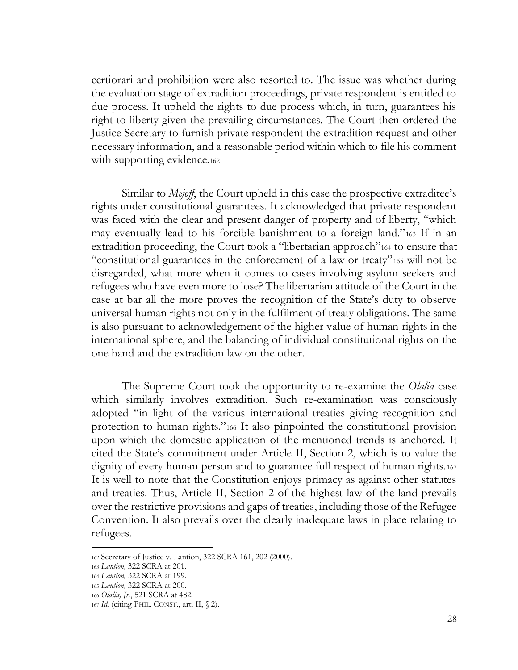certiorari and prohibition were also resorted to. The issue was whether during the evaluation stage of extradition proceedings, private respondent is entitled to due process. It upheld the rights to due process which, in turn, guarantees his right to liberty given the prevailing circumstances. The Court then ordered the Justice Secretary to furnish private respondent the extradition request and other necessary information, and a reasonable period within which to file his comment with supporting evidence.<sup>162</sup>

Similar to *Mejoff*, the Court upheld in this case the prospective extraditee's rights under constitutional guarantees. It acknowledged that private respondent was faced with the clear and present danger of property and of liberty, "which may eventually lead to his forcible banishment to a foreign land."<sup>163</sup> If in an extradition proceeding, the Court took a "libertarian approach"<sup>164</sup> to ensure that "constitutional guarantees in the enforcement of a law or treaty"<sup>165</sup> will not be disregarded, what more when it comes to cases involving asylum seekers and refugees who have even more to lose? The libertarian attitude of the Court in the case at bar all the more proves the recognition of the State's duty to observe universal human rights not only in the fulfilment of treaty obligations. The same is also pursuant to acknowledgement of the higher value of human rights in the international sphere, and the balancing of individual constitutional rights on the one hand and the extradition law on the other.

The Supreme Court took the opportunity to re-examine the *Olalia* case which similarly involves extradition. Such re-examination was consciously adopted "in light of the various international treaties giving recognition and protection to human rights."<sup>166</sup> It also pinpointed the constitutional provision upon which the domestic application of the mentioned trends is anchored. It cited the State's commitment under Article II, Section 2, which is to value the dignity of every human person and to guarantee full respect of human rights.<sup>167</sup> It is well to note that the Constitution enjoys primacy as against other statutes and treaties. Thus, Article II, Section 2 of the highest law of the land prevails over the restrictive provisions and gaps of treaties, including those of the Refugee Convention. It also prevails over the clearly inadequate laws in place relating to refugees.

<sup>162</sup> Secretary of Justice v. Lantion, 322 SCRA 161, 202 (2000).

<sup>163</sup> *Lantion,* 322 SCRA at 201.

<sup>164</sup> *Lantion,* 322 SCRA at 199.

<sup>165</sup> *Lantion,* 322 SCRA at 200.

<sup>166</sup> *Olalia, Jr.*, 521 SCRA at 482.

<sup>167</sup> *Id.* (citing PHIL. CONST., art. II, § 2).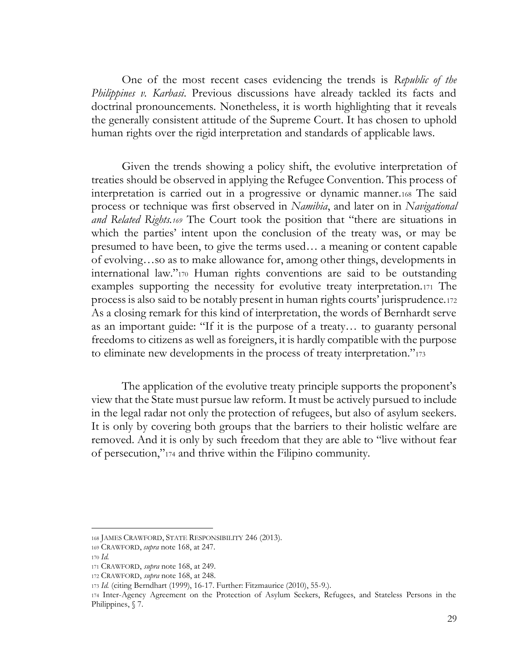One of the most recent cases evidencing the trends is *Republic of the Philippines v. Karbasi*. Previous discussions have already tackled its facts and doctrinal pronouncements. Nonetheless, it is worth highlighting that it reveals the generally consistent attitude of the Supreme Court. It has chosen to uphold human rights over the rigid interpretation and standards of applicable laws.

Given the trends showing a policy shift, the evolutive interpretation of treaties should be observed in applying the Refugee Convention. This process of interpretation is carried out in a progressive or dynamic manner.<sup>168</sup> The said process or technique was first observed in *Namibia*, and later on in *Navigational and Related Rights.<sup>169</sup>* The Court took the position that "there are situations in which the parties' intent upon the conclusion of the treaty was, or may be presumed to have been, to give the terms used… a meaning or content capable of evolving…so as to make allowance for, among other things, developments in international law."<sup>170</sup> Human rights conventions are said to be outstanding examples supporting the necessity for evolutive treaty interpretation.<sup>171</sup> The process is also said to be notably present in human rights courts' jurisprudence.<sup>172</sup> As a closing remark for this kind of interpretation, the words of Bernhardt serve as an important guide: "If it is the purpose of a treaty… to guaranty personal freedoms to citizens as well as foreigners, it is hardly compatible with the purpose to eliminate new developments in the process of treaty interpretation."<sup>173</sup>

The application of the evolutive treaty principle supports the proponent's view that the State must pursue law reform. It must be actively pursued to include in the legal radar not only the protection of refugees, but also of asylum seekers. It is only by covering both groups that the barriers to their holistic welfare are removed. And it is only by such freedom that they are able to "live without fear of persecution,"<sup>174</sup> and thrive within the Filipino community.

<sup>168</sup> JAMES CRAWFORD, STATE RESPONSIBILITY 246 (2013).

<sup>169</sup> CRAWFORD, *supra* note 168, at 247.

<sup>170</sup> *Id.* 

<sup>171</sup> CRAWFORD, *supra* note 168, at 249.

<sup>172</sup> CRAWFORD, *supra* note 168, at 248.

<sup>173</sup> *Id.* (citing Berndhart (1999), 16-17. Further: Fitzmaurice (2010), 55-9.).

<sup>174</sup> Inter-Agency Agreement on the Protection of Asylum Seekers, Refugees, and Stateless Persons in the Philippines, § 7.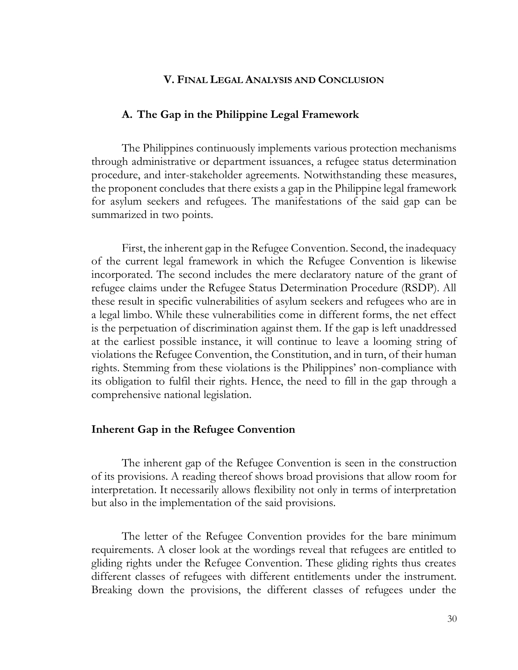# **V. FINAL LEGAL ANALYSIS AND CONCLUSION**

#### <span id="page-34-1"></span><span id="page-34-0"></span>**A. The Gap in the Philippine Legal Framework**

The Philippines continuously implements various protection mechanisms through administrative or department issuances, a refugee status determination procedure, and inter-stakeholder agreements. Notwithstanding these measures, the proponent concludes that there exists a gap in the Philippine legal framework for asylum seekers and refugees. The manifestations of the said gap can be summarized in two points.

First, the inherent gap in the Refugee Convention. Second, the inadequacy of the current legal framework in which the Refugee Convention is likewise incorporated. The second includes the mere declaratory nature of the grant of refugee claims under the Refugee Status Determination Procedure (RSDP). All these result in specific vulnerabilities of asylum seekers and refugees who are in a legal limbo. While these vulnerabilities come in different forms, the net effect is the perpetuation of discrimination against them. If the gap is left unaddressed at the earliest possible instance, it will continue to leave a looming string of violations the Refugee Convention, the Constitution, and in turn, of their human rights. Stemming from these violations is the Philippines' non-compliance with its obligation to fulfil their rights. Hence, the need to fill in the gap through a comprehensive national legislation.

#### <span id="page-34-2"></span>**Inherent Gap in the Refugee Convention**

The inherent gap of the Refugee Convention is seen in the construction of its provisions. A reading thereof shows broad provisions that allow room for interpretation. It necessarily allows flexibility not only in terms of interpretation but also in the implementation of the said provisions.

The letter of the Refugee Convention provides for the bare minimum requirements. A closer look at the wordings reveal that refugees are entitled to gliding rights under the Refugee Convention. These gliding rights thus creates different classes of refugees with different entitlements under the instrument. Breaking down the provisions, the different classes of refugees under the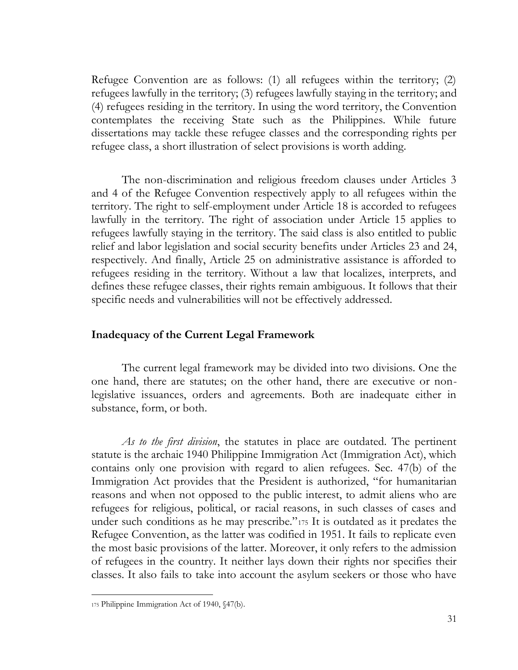Refugee Convention are as follows: (1) all refugees within the territory; (2) refugees lawfully in the territory; (3) refugees lawfully staying in the territory; and (4) refugees residing in the territory. In using the word territory, the Convention contemplates the receiving State such as the Philippines. While future dissertations may tackle these refugee classes and the corresponding rights per refugee class, a short illustration of select provisions is worth adding.

The non-discrimination and religious freedom clauses under Articles 3 and 4 of the Refugee Convention respectively apply to all refugees within the territory. The right to self-employment under Article 18 is accorded to refugees lawfully in the territory. The right of association under Article 15 applies to refugees lawfully staying in the territory. The said class is also entitled to public relief and labor legislation and social security benefits under Articles 23 and 24, respectively. And finally, Article 25 on administrative assistance is afforded to refugees residing in the territory. Without a law that localizes, interprets, and defines these refugee classes, their rights remain ambiguous. It follows that their specific needs and vulnerabilities will not be effectively addressed.

### <span id="page-35-0"></span>**Inadequacy of the Current Legal Framework**

The current legal framework may be divided into two divisions. One the one hand, there are statutes; on the other hand, there are executive or nonlegislative issuances, orders and agreements. Both are inadequate either in substance, form, or both.

*As to the first division*, the statutes in place are outdated. The pertinent statute is the archaic 1940 Philippine Immigration Act (Immigration Act), which contains only one provision with regard to alien refugees. Sec. 47(b) of the Immigration Act provides that the President is authorized, "for humanitarian reasons and when not opposed to the public interest, to admit aliens who are refugees for religious, political, or racial reasons, in such classes of cases and under such conditions as he may prescribe."<sup>175</sup> It is outdated as it predates the Refugee Convention, as the latter was codified in 1951. It fails to replicate even the most basic provisions of the latter. Moreover, it only refers to the admission of refugees in the country. It neither lays down their rights nor specifies their classes. It also fails to take into account the asylum seekers or those who have

<sup>175</sup> Philippine Immigration Act of 1940, §47(b).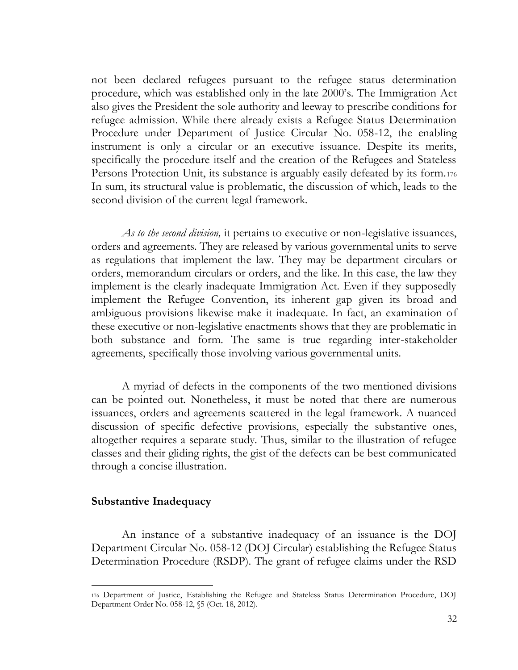not been declared refugees pursuant to the refugee status determination procedure, which was established only in the late 2000's. The Immigration Act also gives the President the sole authority and leeway to prescribe conditions for refugee admission. While there already exists a Refugee Status Determination Procedure under Department of Justice Circular No. 058-12, the enabling instrument is only a circular or an executive issuance. Despite its merits, specifically the procedure itself and the creation of the Refugees and Stateless Persons Protection Unit, its substance is arguably easily defeated by its form.<sup>176</sup> In sum, its structural value is problematic, the discussion of which, leads to the second division of the current legal framework.

*As to the second division,* it pertains to executive or non-legislative issuances, orders and agreements. They are released by various governmental units to serve as regulations that implement the law. They may be department circulars or orders, memorandum circulars or orders, and the like. In this case, the law they implement is the clearly inadequate Immigration Act. Even if they supposedly implement the Refugee Convention, its inherent gap given its broad and ambiguous provisions likewise make it inadequate. In fact, an examination of these executive or non-legislative enactments shows that they are problematic in both substance and form. The same is true regarding inter-stakeholder agreements, specifically those involving various governmental units.

A myriad of defects in the components of the two mentioned divisions can be pointed out. Nonetheless, it must be noted that there are numerous issuances, orders and agreements scattered in the legal framework. A nuanced discussion of specific defective provisions, especially the substantive ones, altogether requires a separate study. Thus, similar to the illustration of refugee classes and their gliding rights, the gist of the defects can be best communicated through a concise illustration.

### <span id="page-36-0"></span>**Substantive Inadequacy**

An instance of a substantive inadequacy of an issuance is the DOJ Department Circular No. 058-12 (DOJ Circular) establishing the Refugee Status Determination Procedure (RSDP). The grant of refugee claims under the RSD

<sup>176</sup> Department of Justice, Establishing the Refugee and Stateless Status Determination Procedure, DOJ Department Order No. 058-12, §5 (Oct. 18, 2012).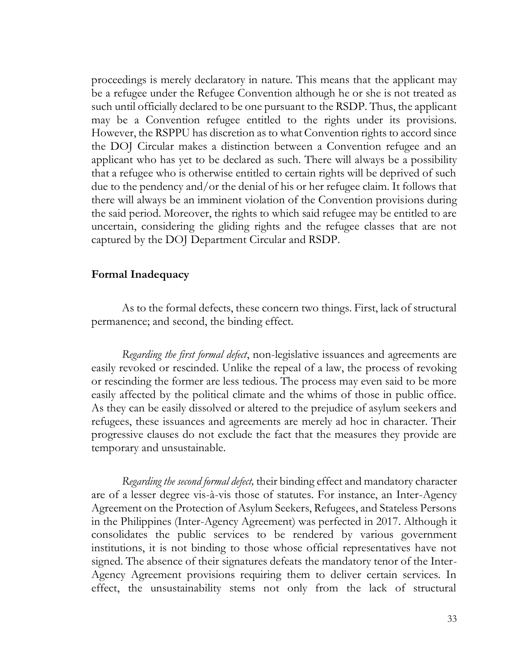proceedings is merely declaratory in nature. This means that the applicant may be a refugee under the Refugee Convention although he or she is not treated as such until officially declared to be one pursuant to the RSDP. Thus, the applicant may be a Convention refugee entitled to the rights under its provisions. However, the RSPPU has discretion as to what Convention rights to accord since the DOJ Circular makes a distinction between a Convention refugee and an applicant who has yet to be declared as such. There will always be a possibility that a refugee who is otherwise entitled to certain rights will be deprived of such due to the pendency and/or the denial of his or her refugee claim. It follows that there will always be an imminent violation of the Convention provisions during the said period. Moreover, the rights to which said refugee may be entitled to are uncertain, considering the gliding rights and the refugee classes that are not captured by the DOJ Department Circular and RSDP.

## <span id="page-37-0"></span>**Formal Inadequacy**

As to the formal defects, these concern two things. First, lack of structural permanence; and second, the binding effect.

*Regarding the first formal defect*, non-legislative issuances and agreements are easily revoked or rescinded. Unlike the repeal of a law, the process of revoking or rescinding the former are less tedious. The process may even said to be more easily affected by the political climate and the whims of those in public office. As they can be easily dissolved or altered to the prejudice of asylum seekers and refugees, these issuances and agreements are merely ad hoc in character. Their progressive clauses do not exclude the fact that the measures they provide are temporary and unsustainable.

*Regarding the second formal defect,* their binding effect and mandatory character are of a lesser degree vis-à-vis those of statutes. For instance, an Inter-Agency Agreement on the Protection of Asylum Seekers, Refugees, and Stateless Persons in the Philippines (Inter-Agency Agreement) was perfected in 2017. Although it consolidates the public services to be rendered by various government institutions, it is not binding to those whose official representatives have not signed. The absence of their signatures defeats the mandatory tenor of the Inter-Agency Agreement provisions requiring them to deliver certain services. In effect, the unsustainability stems not only from the lack of structural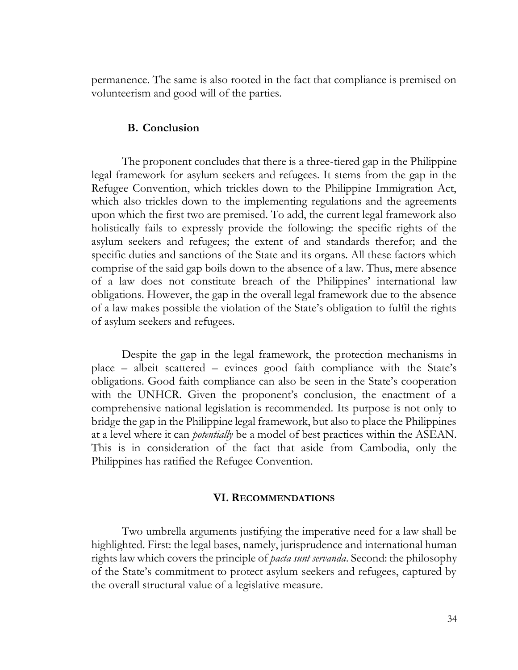permanence. The same is also rooted in the fact that compliance is premised on volunteerism and good will of the parties.

### **B. Conclusion**

<span id="page-38-0"></span>The proponent concludes that there is a three-tiered gap in the Philippine legal framework for asylum seekers and refugees. It stems from the gap in the Refugee Convention, which trickles down to the Philippine Immigration Act, which also trickles down to the implementing regulations and the agreements upon which the first two are premised. To add, the current legal framework also holistically fails to expressly provide the following: the specific rights of the asylum seekers and refugees; the extent of and standards therefor; and the specific duties and sanctions of the State and its organs. All these factors which comprise of the said gap boils down to the absence of a law. Thus, mere absence of a law does not constitute breach of the Philippines' international law obligations. However, the gap in the overall legal framework due to the absence of a law makes possible the violation of the State's obligation to fulfil the rights of asylum seekers and refugees.

Despite the gap in the legal framework, the protection mechanisms in place – albeit scattered – evinces good faith compliance with the State's obligations. Good faith compliance can also be seen in the State's cooperation with the UNHCR. Given the proponent's conclusion, the enactment of a comprehensive national legislation is recommended. Its purpose is not only to bridge the gap in the Philippine legal framework, but also to place the Philippines at a level where it can *potentially* be a model of best practices within the ASEAN. This is in consideration of the fact that aside from Cambodia, only the Philippines has ratified the Refugee Convention.

#### **VI. RECOMMENDATIONS**

<span id="page-38-1"></span>Two umbrella arguments justifying the imperative need for a law shall be highlighted. First: the legal bases, namely, jurisprudence and international human rights law which covers the principle of *pacta sunt servanda*. Second: the philosophy of the State's commitment to protect asylum seekers and refugees, captured by the overall structural value of a legislative measure.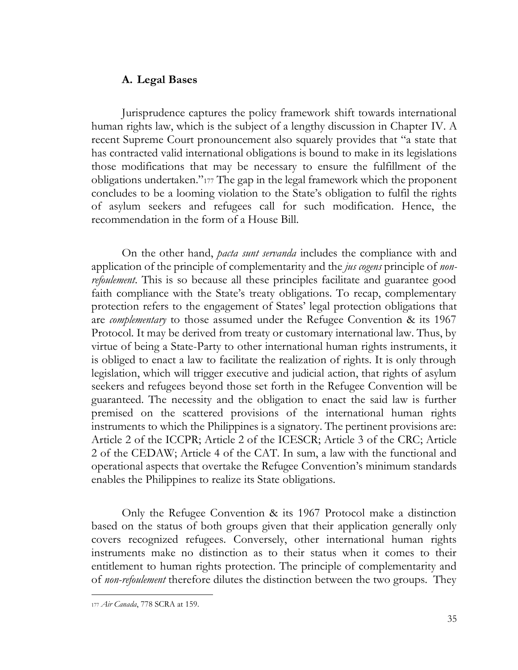# <span id="page-39-0"></span>**A. Legal Bases**

Jurisprudence captures the policy framework shift towards international human rights law, which is the subject of a lengthy discussion in Chapter IV. A recent Supreme Court pronouncement also squarely provides that "a state that has contracted valid international obligations is bound to make in its legislations those modifications that may be necessary to ensure the fulfillment of the obligations undertaken."<sup>177</sup> The gap in the legal framework which the proponent concludes to be a looming violation to the State's obligation to fulfil the rights of asylum seekers and refugees call for such modification. Hence, the recommendation in the form of a House Bill.

On the other hand, *pacta sunt servanda* includes the compliance with and application of the principle of complementarity and the *jus cogens* principle of *nonrefoulement*. This is so because all these principles facilitate and guarantee good faith compliance with the State's treaty obligations. To recap, complementary protection refers to the engagement of States' legal protection obligations that are *complementary* to those assumed under the Refugee Convention & its 1967 Protocol. It may be derived from treaty or customary international law. Thus, by virtue of being a State-Party to other international human rights instruments, it is obliged to enact a law to facilitate the realization of rights. It is only through legislation, which will trigger executive and judicial action, that rights of asylum seekers and refugees beyond those set forth in the Refugee Convention will be guaranteed. The necessity and the obligation to enact the said law is further premised on the scattered provisions of the international human rights instruments to which the Philippines is a signatory. The pertinent provisions are: Article 2 of the ICCPR; Article 2 of the ICESCR; Article 3 of the CRC; Article 2 of the CEDAW; Article 4 of the CAT. In sum, a law with the functional and operational aspects that overtake the Refugee Convention's minimum standards enables the Philippines to realize its State obligations.

Only the Refugee Convention & its 1967 Protocol make a distinction based on the status of both groups given that their application generally only covers recognized refugees. Conversely, other international human rights instruments make no distinction as to their status when it comes to their entitlement to human rights protection. The principle of complementarity and of *non-refoulement* therefore dilutes the distinction between the two groups. They

<sup>177</sup> *Air Canada*, 778 SCRA at 159.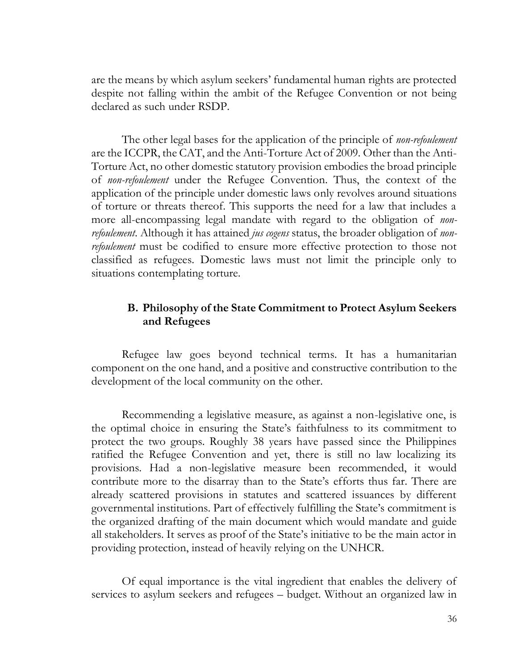are the means by which asylum seekers' fundamental human rights are protected despite not falling within the ambit of the Refugee Convention or not being declared as such under RSDP.

The other legal bases for the application of the principle of *non-refoulement*  are the ICCPR, the CAT, and the Anti-Torture Act of 2009. Other than the Anti-Torture Act, no other domestic statutory provision embodies the broad principle of *non-refoulement* under the Refugee Convention. Thus, the context of the application of the principle under domestic laws only revolves around situations of torture or threats thereof. This supports the need for a law that includes a more all-encompassing legal mandate with regard to the obligation of *nonrefoulement*. Although it has attained *jus cogens* status, the broader obligation of *nonrefoulement* must be codified to ensure more effective protection to those not classified as refugees. Domestic laws must not limit the principle only to situations contemplating torture.

# <span id="page-40-0"></span>**B. Philosophy of the State Commitment to Protect Asylum Seekers and Refugees**

Refugee law goes beyond technical terms. It has a humanitarian component on the one hand, and a positive and constructive contribution to the development of the local community on the other.

Recommending a legislative measure, as against a non-legislative one, is the optimal choice in ensuring the State's faithfulness to its commitment to protect the two groups. Roughly 38 years have passed since the Philippines ratified the Refugee Convention and yet, there is still no law localizing its provisions. Had a non-legislative measure been recommended, it would contribute more to the disarray than to the State's efforts thus far. There are already scattered provisions in statutes and scattered issuances by different governmental institutions. Part of effectively fulfilling the State's commitment is the organized drafting of the main document which would mandate and guide all stakeholders. It serves as proof of the State's initiative to be the main actor in providing protection, instead of heavily relying on the UNHCR.

Of equal importance is the vital ingredient that enables the delivery of services to asylum seekers and refugees – budget. Without an organized law in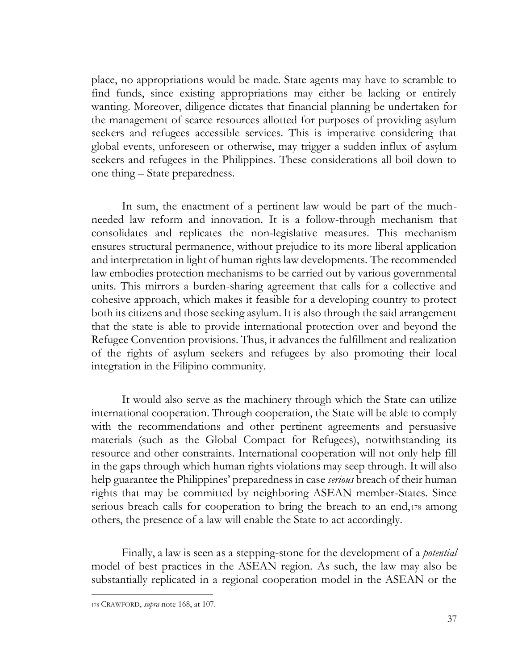place, no appropriations would be made. State agents may have to scramble to find funds, since existing appropriations may either be lacking or entirely wanting. Moreover, diligence dictates that financial planning be undertaken for the management of scarce resources allotted for purposes of providing asylum seekers and refugees accessible services. This is imperative considering that global events, unforeseen or otherwise, may trigger a sudden influx of asylum seekers and refugees in the Philippines. These considerations all boil down to one thing – State preparedness.

In sum, the enactment of a pertinent law would be part of the muchneeded law reform and innovation. It is a follow-through mechanism that consolidates and replicates the non-legislative measures. This mechanism ensures structural permanence, without prejudice to its more liberal application and interpretation in light of human rights law developments. The recommended law embodies protection mechanisms to be carried out by various governmental units. This mirrors a burden-sharing agreement that calls for a collective and cohesive approach, which makes it feasible for a developing country to protect both its citizens and those seeking asylum. It is also through the said arrangement that the state is able to provide international protection over and beyond the Refugee Convention provisions. Thus, it advances the fulfillment and realization of the rights of asylum seekers and refugees by also promoting their local integration in the Filipino community.

It would also serve as the machinery through which the State can utilize international cooperation. Through cooperation, the State will be able to comply with the recommendations and other pertinent agreements and persuasive materials (such as the Global Compact for Refugees), notwithstanding its resource and other constraints. International cooperation will not only help fill in the gaps through which human rights violations may seep through. It will also help guarantee the Philippines' preparedness in case *serious* breach of their human rights that may be committed by neighboring ASEAN member-States. Since serious breach calls for cooperation to bring the breach to an end,<sup>178</sup> among others, the presence of a law will enable the State to act accordingly.

Finally, a law is seen as a stepping-stone for the development of a *potential* model of best practices in the ASEAN region. As such, the law may also be substantially replicated in a regional cooperation model in the ASEAN or the

<sup>178</sup> CRAWFORD, *supra* note 168, at 107.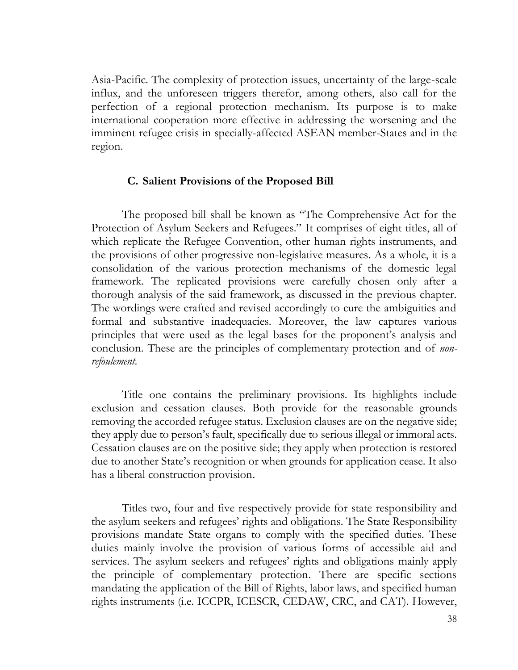Asia-Pacific. The complexity of protection issues, uncertainty of the large-scale influx, and the unforeseen triggers therefor, among others, also call for the perfection of a regional protection mechanism. Its purpose is to make international cooperation more effective in addressing the worsening and the imminent refugee crisis in specially-affected ASEAN member-States and in the region.

## **C. Salient Provisions of the Proposed Bill**

<span id="page-42-0"></span>The proposed bill shall be known as "The Comprehensive Act for the Protection of Asylum Seekers and Refugees." It comprises of eight titles, all of which replicate the Refugee Convention, other human rights instruments, and the provisions of other progressive non-legislative measures. As a whole, it is a consolidation of the various protection mechanisms of the domestic legal framework. The replicated provisions were carefully chosen only after a thorough analysis of the said framework, as discussed in the previous chapter. The wordings were crafted and revised accordingly to cure the ambiguities and formal and substantive inadequacies. Moreover, the law captures various principles that were used as the legal bases for the proponent's analysis and conclusion. These are the principles of complementary protection and of *nonrefoulement.* 

Title one contains the preliminary provisions. Its highlights include exclusion and cessation clauses. Both provide for the reasonable grounds removing the accorded refugee status. Exclusion clauses are on the negative side; they apply due to person's fault, specifically due to serious illegal or immoral acts. Cessation clauses are on the positive side; they apply when protection is restored due to another State's recognition or when grounds for application cease. It also has a liberal construction provision.

Titles two, four and five respectively provide for state responsibility and the asylum seekers and refugees' rights and obligations. The State Responsibility provisions mandate State organs to comply with the specified duties. These duties mainly involve the provision of various forms of accessible aid and services. The asylum seekers and refugees' rights and obligations mainly apply the principle of complementary protection. There are specific sections mandating the application of the Bill of Rights, labor laws, and specified human rights instruments (i.e. ICCPR, ICESCR, CEDAW, CRC, and CAT). However,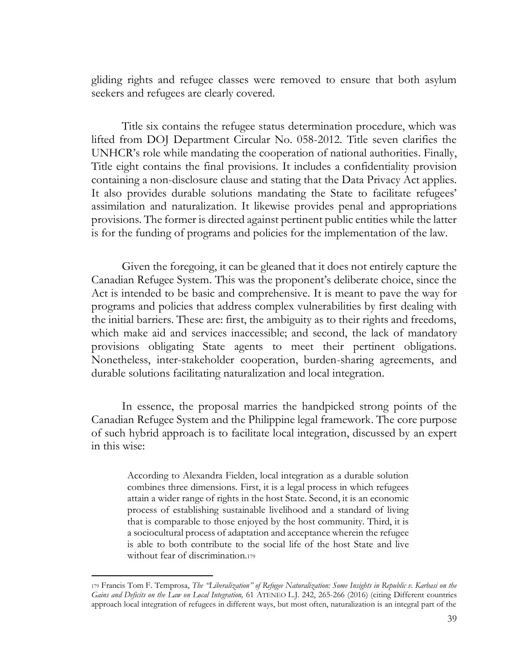gliding rights and refugee classes were removed to ensure that both asylum seekers and refugees are clearly covered.

Title six contains the refugee status determination procedure, which was lifted from DOJ Department Circular No. 058-2012. Title seven clarifies the UNHCR's role while mandating the cooperation of national authorities. Finally, Title eight contains the final provisions. It includes a confidentiality provision containing a non-disclosure clause and stating that the Data Privacy Act applies. It also provides durable solutions mandating the State to facilitate refugees' assimilation and naturalization. It likewise provides penal and appropriations provisions. The former is directed against pertinent public entities while the latter is for the funding of programs and policies for the implementation of the law.

Given the foregoing, it can be gleaned that it does not entirely capture the Canadian Refugee System. This was the proponent's deliberate choice, since the Act is intended to be basic and comprehensive. It is meant to pave the way for programs and policies that address complex vulnerabilities by first dealing with the initial barriers. These are: first, the ambiguity as to their rights and freedoms, which make aid and services inaccessible; and second, the lack of mandatory provisions obligating State agents to meet their pertinent obligations. Nonetheless, inter-stakeholder cooperation, burden-sharing agreements, and durable solutions facilitating naturalization and local integration.

In essence, the proposal marries the handpicked strong points of the Canadian Refugee System and the Philippine legal framework. The core purpose of such hybrid approach is to facilitate local integration, discussed by an expert in this wise:

According to Alexandra Fielden, local integration as a durable solution combines three dimensions. First, it is a legal process in which refugees attain a wider range of rights in the host State. Second, it is an economic process of establishing sustainable livelihood and a standard of living that is comparable to those enjoyed by the host community. Third, it is a sociocultural process of adaptation and acceptance wherein the refugee is able to both contribute to the social life of the host State and live without fear of discrimination.<sup>179</sup>

<sup>179</sup> Francis Tom F. Temprosa, *The "Liberalization" of Refugee Naturalization: Some Insights in Republic v. Karbasi on the Gains and Deficits on the Law on Local Integration,* 61 ATENEO L.J. 242, 265-266 (2016) (citing Different countries approach local integration of refugees in different ways, but most often, naturalization is an integral part of the